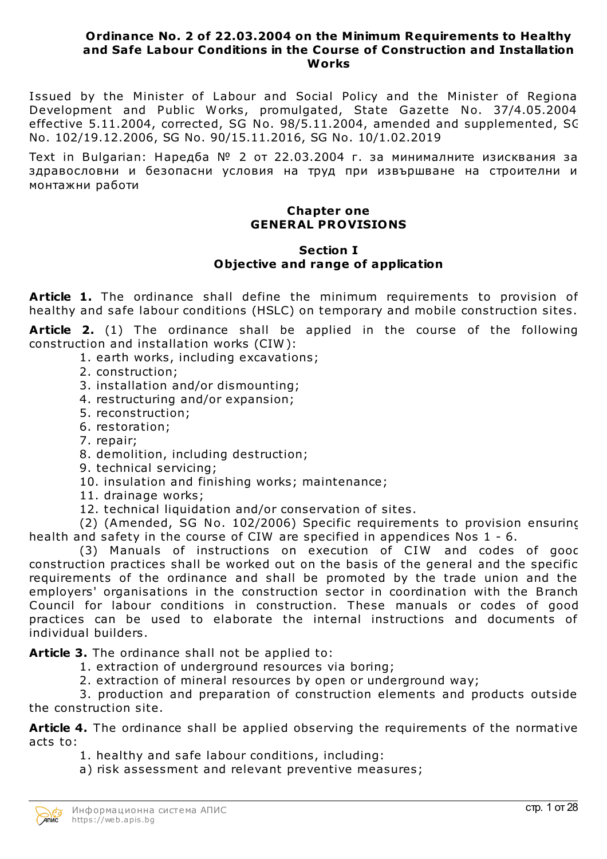#### **Ordinance No. 2 of 22.03.2004 on the Minimum Requirements to Healthy and Safe Labour Conditions in the Course of Construction and Installation Works**

Issued by the Minister of Labour and Social Policy and the Minister of Regional Development and Public Works, promulgated, State Gazette No. 37/4.05.2004, effective 5.11.2004, corrected, SG No. 98/5.11.2004, amended and supplemented, SG No. 102/19.12.2006, SG No. 90/15.11.2016, SG No. 10/1.02.2019

Text in Bulgarian: Наредба № 2 от 22.03.2004 г. за минималните изисквания за здравословни и безопасни условия на труд при извършване на строителни и монтажни работи

### **Chapter one GENERAL PROVISIONS**

#### **Section I Objective and range of application**

**Article 1.** The ordinance shall define the minimum requirements to provision of healthy and safe labour conditions (HSLC) on temporary and mobile construction sites.

**Article 2.** (1) The ordinance shall be applied in the course of the following construction and installation works (CIW ):

1. earth works, including excavations;

- 2. construction;
- 3. installation and/or dismounting;
- 4. restructuring and/or expansion;
- 5. reconstruction;
- 6. restoration;
- 7. repair;
- 8. demolition, including destruction;
- 9. technical servicing;
- 10. insulation and finishing works; maintenance;
- 11. drainage works;
- 12. technical liquidation and/or conservation of sites.

(2) (Amended, SG No. 102/2006) Specific requirements to provision ensuring health and safety in the course of CIW are specified in appendices Nos 1 - 6.

(3) Manuals of instructions on execution of CIW and codes of good construction practices shall be worked out on the basis of the general and the specific requirements of the ordinance and shall be promoted by the trade union and the employers' organisations in the construction sector in coordination with the Branch Council for labour conditions in construction. These manuals or codes of good practices can be used to elaborate the internal instructions and documents of individual builders.

**Article 3.** The ordinance shall not be applied to:

1. extraction of underground resources via boring;

2. extraction of mineral resources by open or underground way;

3. production and preparation of construction elements and products outside the construction site.

**Article 4.** The ordinance shall be applied observing the requirements of the normative acts to:

- 1. healthy and safe labour conditions, including:
- a) risk assessment and relevant preventive measures;

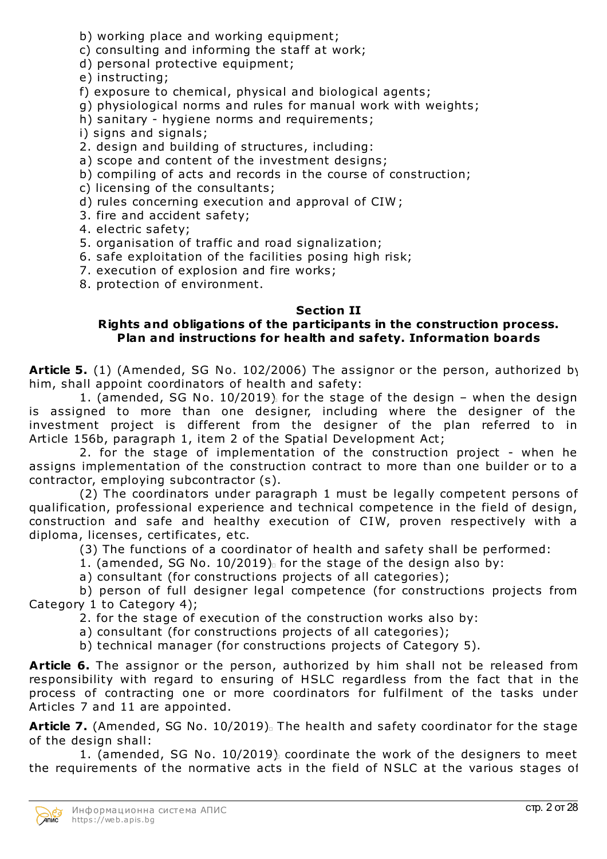- b) working place and working equipment;
- c) consulting and informing the staff at work;
- d) personal protective equipment;
- e) instructing;
- f) exposure to chemical, physical and biological agents;
- g) physiological norms and rules for manual work with weights;
- h) sanitary hygiene norms and requirements;
- i) signs and signals;
- 2. design and building of structures, including:
- a) scope and content of the investment designs;
- b) compiling of acts and records in the course of construction;
- c) licensing of the consultants;
- d) rules concerning execution and approval of CIW ;
- 3. fire and accident safety;
- 4. electric safety;
- 5. organisation of traffic and road signalization;
- 6. safe exploitation of the facilities posing high risk;
- 7. execution of explosion and fire works;
- 8. protection of environment.

# **Section II**

## **Rights and obligations of the participants in the construction process. Plan and instructions for health and safety. Information boards**

**Article 5.** (1) (Amended, SG No. 102/2006) The assignor or the person, authorized by him, shall appoint coordinators of health and safety:

1. (amended, SG No. 10/2019) for the stage of the design – when the design is assigned to more than one designer, including where the designer of the investment project is different from the designer of the plan referred to in Article 156b, paragraph 1, item 2 of the Spatial Development Act;

2. for the stage of implementation of the construction project - when he assigns implementation of the construction contract to more than one builder or to a contractor, employing subcontractor (s).

(2) The coordinators under paragraph 1 must be legally competent persons of qualification, professional experience and technical competence in the field of design, construction and safe and healthy execution of CIW, proven respectively with a diploma, licenses, certificates, etc.

(3) The functions of a coordinator of health and safety shall be performed:

- 1. (amended, SG No.  $10/2019$ ) for the stage of the design also by:
- a) consultant (for constructions projects of all categories);

b) person of full designer legal competence (for constructions projects from Category 1 to Category 4);

2. for the stage of execution of the construction works also by:

- a) consultant (for constructions projects of all categories);
- b) technical manager (for constructions projects of Category 5).

**Article 6.** The assignor or the person, authorized by him shall not be released from responsibility with regard to ensuring of HSLC regardless from the fact that in the process of contracting one or more coordinators for fulfilment of the tasks under Articles 7 and 11 are appointed.

Article 7. (Amended, SG No. 10/2019). The health and safety coordinator for the stage of the design shall:

1. (amended, SG No. 10/2019) coordinate the work of the designers to meet the requirements of the normative acts in the field of NSLC at the various stages of

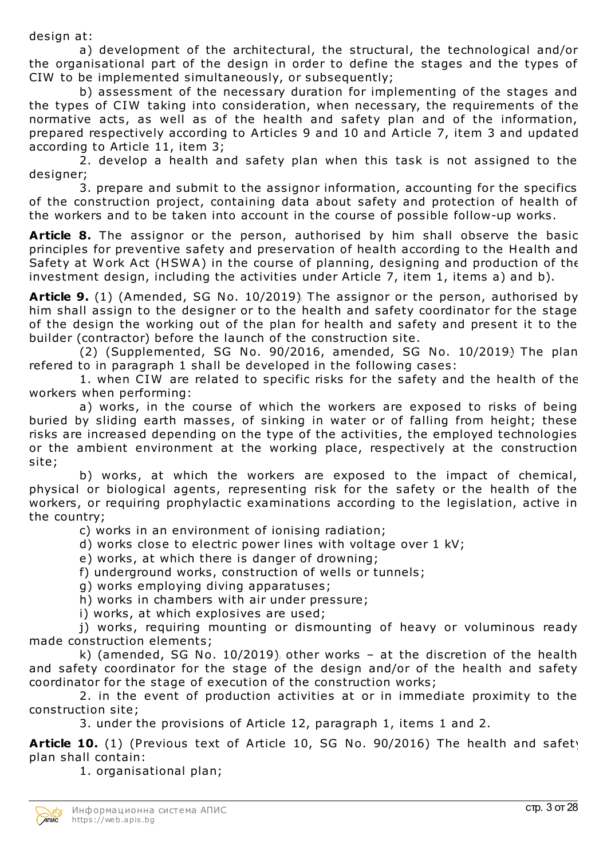design at:

a) development of the architectural, the structural, the technological and/or the organisational part of the design in order to define the stages and the types of CIW to be implemented simultaneously, or subsequently;

b) assessment of the necessary duration for implementing of the stages and the types of CIW taking into consideration, when necessary, the requirements of the normative acts, as well as of the health and safety plan and of the information, prepared respectively according to Articles 9 and 10 and Article 7, item 3 and updated according to Article 11, item 3;

2. develop a health and safety plan when this task is not assigned to the designer;

3. prepare and submit to the assignor information, accounting for the specifics of the construction project, containing data about safety and protection of health of the workers and to be taken into account in the course of possible follow-up works.

**Article 8.** The assignor or the person, authorised by him shall observe the basic principles for preventive safety and preservation of health according to the Health and Safety at Work Act (HSW A) in the course of planning, designing and production of the investment design, including the activities under Article 7, item 1, items a) and b).

**Article 9.** (1) (Amended, SG No. 10/2019) The assignor or the person, authorised by him shall assign to the designer or to the health and safety coordinator for the stage of the design the working out of the plan for health and safety and present it to the builder (contractor) before the launch of the construction site.

(2) (Supplemented, SG No. 90/2016, amended, SG No. 10/2019) The plan refered to in paragraph 1 shall be developed in the following cases:

1. when CIW are related to specific risks for the safety and the health of the workers when performing:

a) works, in the course of which the workers are exposed to risks of being buried by sliding earth masses, of sinking in water or of falling from height; these risks are increased depending on the type of the activities, the employed technologies or the ambient environment at the working place, respectively at the construction site;

b) works, at which the workers are exposed to the impact of chemical, physical or biological agents, representing risk for the safety or the health of the workers, or requiring prophylactic examinations according to the legislation, active in the country;

c) works in an environment of ionising radiation;

- d) works close to electric power lines with voltage over 1 kV;
- e) works, at which there is danger of drowning;
- f) underground works, construction of wells or tunnels;
- g) works employing diving apparatuses;
- h) works in chambers with air under pressure;
- i) works, at which explosives are used;

j) works, requiring mounting or dismounting of heavy or voluminous ready made construction elements;

k) (amended, SG No. 10/2019) other works – at the discretion of the health and safety coordinator for the stage of the design and/or of the health and safety coordinator for the stage of execution of the construction works;

2. in the event of production activities at or in immediate proximity to the construction site;

3. under the provisions of Article 12, paragraph 1, items 1 and 2.

**Article 10.** (1) (Previous text of Article 10, SG No. 90/2016) The health and safety plan shall contain:

1. organisational plan;

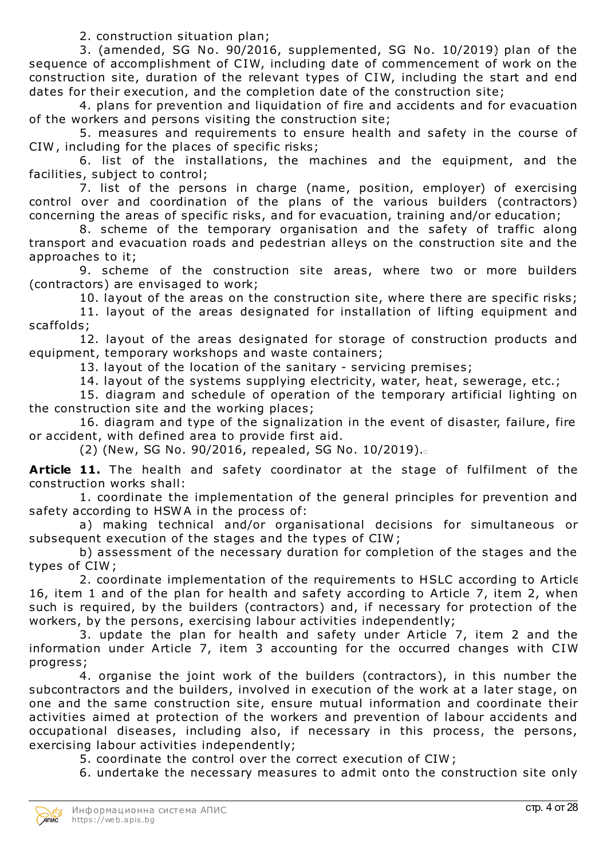2. construction situation plan;

3. (amended, SG No. 90/2016, supplemented, SG No. 10/2019) plan of the sequence of accomplishment of CIW, including date of commencement of work on the construction site, duration of the relevant types of CIW, including the start and end dates for their execution, and the completion date of the construction site;

4. plans for prevention and liquidation of fire and accidents and for evacuation of the workers and persons visiting the construction site;

5. measures and requirements to ensure health and safety in the course of CIW , including for the places of specific risks;

6. list of the installations, the machines and the equipment, and the facilities, subject to control;

7. list of the persons in charge (name, position, employer) of exercising control over and coordination of the plans of the various builders (contractors) concerning the areas of specific risks, and for evacuation, training and/or education;

8. scheme of the temporary organisation and the safety of traffic along transport and evacuation roads and pedestrian alleys on the construction site and the approaches to it;

9. scheme of the construction site areas, where two or more builders (contractors) are envisaged to work;

10. layout of the areas on the construction site, where there are specific risks;

11. layout of the areas designated for installation of lifting equipment and scaffolds;

12. layout of the areas designated for storage of construction products and equipment, temporary workshops and waste containers;

13. layout of the location of the sanitary - servicing premises;

14. layout of the systems supplying electricity, water, heat, sewerage, etc.;

15. diagram and schedule of operation of the temporary artificial lighting on the construction site and the working places;

16. diagram and type of the signalization in the event of disaster, failure, fire or accident, with defined area to provide first aid.

(2) (New, SG No. 90/2016, repealed, SG No. 10/2019).

**Article 11.** The health and safety coordinator at the stage of fulfilment of the construction works shall:

1. coordinate the implementation of the general principles for prevention and safety according to HSWA in the process of:

a) making technical and/or organisational decisions for simultaneous or subsequent execution of the stages and the types of CIW ;

b) assessment of the necessary duration for completion of the stages and the types of CIW ;

2. coordinate implementation of the requirements to HSLC according to Article 16, item 1 and of the plan for health and safety according to Article 7, item 2, when such is required, by the builders (contractors) and, if necessary for protection of the workers, by the persons, exercising labour activities independently;

3. update the plan for health and safety under Article 7, item 2 and the information under Article 7, item 3 accounting for the occurred changes with CIW progress;

4. organise the joint work of the builders (contractors), in this number the subcontractors and the builders, involved in execution of the work at a later stage, on one and the same construction site, ensure mutual information and coordinate their activities aimed at protection of the workers and prevention of labour accidents and occupational diseases, including also, if necessary in this process, the persons, exercising labour activities independently;

5. coordinate the control over the correct execution of CIW ;

6. undertake the necessary measures to admit onto the construction site only

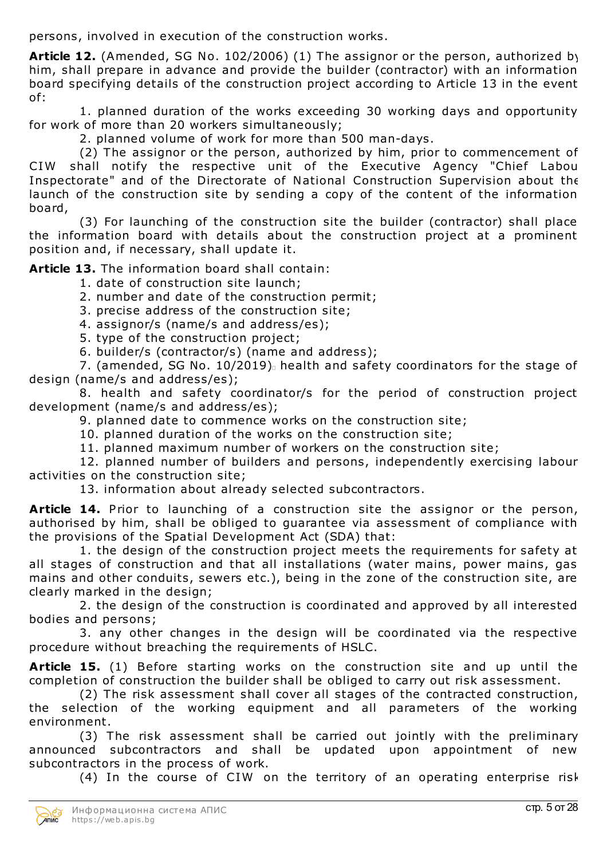persons, involved in execution of the construction works.

**Article 12.** (Amended, SG No. 102/2006) (1) The assignor or the person, authorized by him, shall prepare in advance and provide the builder (contractor) with an information board specifying details of the construction project according to Article 13 in the event of:

1. planned duration of the works exceeding 30 working days and opportunity for work of more than 20 workers simultaneously;

2. planned volume of work for more than 500 man-days.

(2) The assignor or the person, authorized by him, prior to commencement of CIW shall notify the respective unit of the Executive Agency "Chief Labou Inspectorate" and of the Directorate of National Construction Supervision about the launch of the construction site by sending a copy of the content of the information board,

(3) For launching of the construction site the builder (contractor) shall place the information board with details about the construction project at a prominent position and, if necessary, shall update it.

**Article 13.** The information board shall contain:

- 1. date of construction site launch;
- 2. number and date of the construction permit;
- 3. precise address of the construction site;
- 4. assignor/s (name/s and address/es);
- 5. type of the construction project;
- 6. builder/s (contractor/s) (name and address);

7. (amended, SG No. 10/2019). health and safety coordinators for the stage of design (name/s and address/es);

8. health and safety coordinator/s for the period of construction project development (name/s and address/es);

9. planned date to commence works on the construction site;

10. planned duration of the works on the construction site;

11. planned maximum number of workers on the construction site;

12. planned number of builders and persons, independently exercising labour activities on the construction site;

13. information about already selected subcontractors.

**Article 14.** Prior to launching of a construction site the assignor or the person, authorised by him, shall be obliged to guarantee via assessment of compliance with the provisions of the Spatial Development Act (SDA) that:

1. the design of the construction project meets the requirements for safety at all stages of construction and that all installations (water mains, power mains, gas mains and other conduits, sewers etc.), being in the zone of the construction site, are clearly marked in the design;

2. the design of the construction is coordinated and approved by all interested bodies and persons;

3. any other changes in the design will be coordinated via the respective procedure without breaching the requirements of HSLC.

**Article 15.** (1) Before starting works on the construction site and up until the completion of construction the builder shall be obliged to carry out risk assessment.

(2) The risk assessment shall cover all stages of the contracted construction, the selection of the working equipment and all parameters of the working environment.

(3) The risk assessment shall be carried out jointly with the preliminary announced subcontractors and shall be updated upon appointment of new subcontractors in the process of work.

(4) In the course of CIW on the territory of an operating enterprise risk

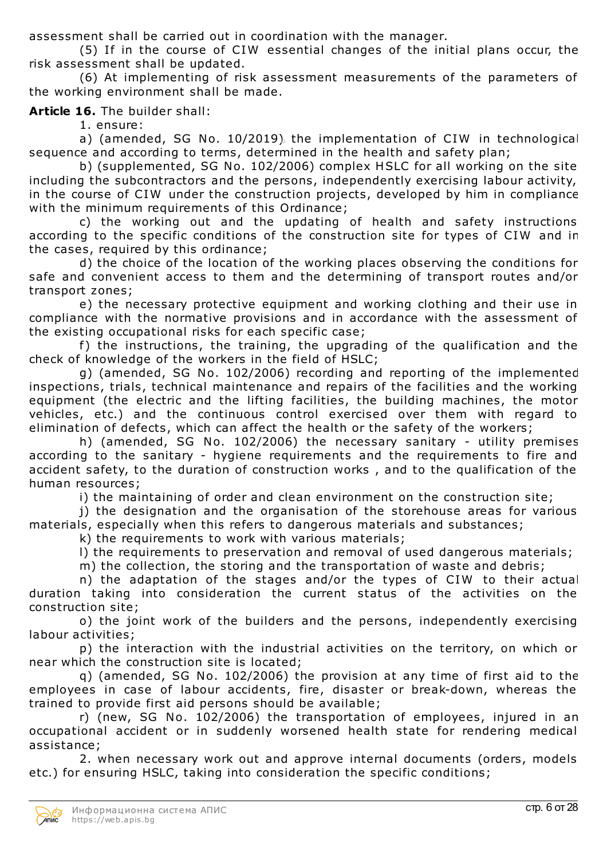assessment shall be carried out in coordination with the manager.

(5) If in the course of CIW essential changes of the initial plans occur, the risk assessment shall be updated.

(6) At implementing of risk assessment measurements of the parameters of the working environment shall be made.

# **Article 16.** The builder shall:

1. ensure:

a) (amended, SG No. 10/2019) the implementation of CIW in technological sequence and according to terms, determined in the health and safety plan;

b) (supplemented, SG No. 102/2006) complex HSLC for all working on the site, including the subcontractors and the persons, independently exercising labour activity, in the course of CIW under the construction projects, developed by him in compliance with the minimum requirements of this Ordinance;

c) the working out and the updating of health and safety instructions according to the specific conditions of the construction site for types of CIW and in the cases, required by this ordinance;

d) the choice of the location of the working places observing the conditions for safe and convenient access to them and the determining of transport routes and/or transport zones;

e) the necessary protective equipment and working clothing and their use in compliance with the normative provisions and in accordance with the assessment of the existing occupational risks for each specific case;

f) the instructions, the training, the upgrading of the qualification and the check of knowledge of the workers in the field of HSLC;

g) (amended, SG No. 102/2006) recording and reporting of the implemented inspections, trials, technical maintenance and repairs of the facilities and the working equipment (the electric and the lifting facilities, the building machines, the motor vehicles, etc.) and the continuous control exercised over them with regard to elimination of defects, which can affect the health or the safety of the workers;

h) (amended, SG No. 102/2006) the necessary sanitary - utility premises according to the sanitary - hygiene requirements and the requirements to fire and accident safety, to the duration of construction works , and to the qualification of the human resources;

i) the maintaining of order and clean environment on the construction site;

j) the designation and the organisation of the storehouse areas for various materials, especially when this refers to dangerous materials and substances;

k) the requirements to work with various materials;

l) the requirements to preservation and removal of used dangerous materials;

m) the collection, the storing and the transportation of waste and debris;

n) the adaptation of the stages and/or the types of CIW to their actual duration taking into consideration the current status of the activities on the construction site;

o) the joint work of the builders and the persons, independently exercising labour activities;

p) the interaction with the industrial activities on the territory, on which or near which the construction site is located;

q) (amended, SG No. 102/2006) the provision at any time of first aid to the employees in case of labour accidents, fire, disaster or break-down, whereas the trained to provide first aid persons should be available;

r) (new, SG No. 102/2006) the transportation of employees, injured in an occupational accident or in suddenly worsened health state for rendering medical assistance;

2. when necessary work out and approve internal documents (orders, models etc.) for ensuring HSLC, taking into consideration the specific conditions;

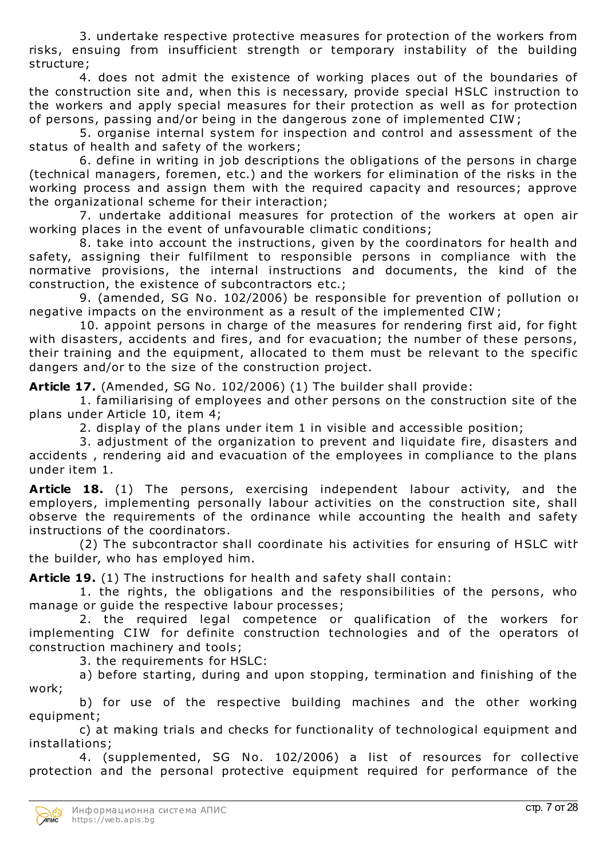3. undertake respective protective measures for protection of the workers from risks, ensuing from insufficient strength or temporary instability of the building structure;

4. does not admit the existence of working places out of the boundaries of the construction site and, when this is necessary, provide special HSLC instruction to the workers and apply special measures for their protection as well as for protection of persons, passing and/or being in the dangerous zone of implemented CIW ;

5. organise internal system for inspection and control and assessment of the status of health and safety of the workers;

6. define in writing in job descriptions the obligations of the persons in charge (technical managers, foremen, etc.) and the workers for elimination of the risks in the working process and assign them with the required capacity and resources; approve the organizational scheme for their interaction;

7. undertake additional measures for protection of the workers at open air working places in the event of unfavourable climatic conditions;

8. take into account the instructions, given by the coordinators for health and safety, assigning their fulfilment to responsible persons in compliance with the normative provisions, the internal instructions and documents, the kind of the construction, the existence of subcontractors etc.;

9. (amended, SG No. 102/2006) be responsible for prevention of pollution or negative impacts on the environment as a result of the implemented CIW ;

10. appoint persons in charge of the measures for rendering first aid, for fight with disasters, accidents and fires, and for evacuation; the number of these persons, their training and the equipment, allocated to them must be relevant to the specific dangers and/or to the size of the construction project.

**Article 17.** (Amended, SG No. 102/2006) (1) The builder shall provide:

1. familiarising of employees and other persons on the construction site of the plans under Article 10, item 4;

2. display of the plans under item 1 in visible and accessible position;

3. adjustment of the organization to prevent and liquidate fire, disasters and accidents , rendering aid and evacuation of the employees in compliance to the plans under item 1.

**Article 18.** (1) The persons, exercising independent labour activity, and the employers, implementing personally labour activities on the construction site, shall observe the requirements of the ordinance while accounting the health and safety instructions of the coordinators.

(2) The subcontractor shall coordinate his activities for ensuring of HSLC with the builder, who has employed him.

**Article 19.** (1) The instructions for health and safety shall contain:

1. the rights, the obligations and the responsibilities of the persons, who manage or guide the respective labour processes;

2. the required legal competence or qualification of the workers for implementing CIW for definite construction technologies and of the operators of construction machinery and tools;

3. the requirements for HSLC:

a) before starting, during and upon stopping, termination and finishing of the work;

b) for use of the respective building machines and the other working equipment;

c) at making trials and checks for functionality of technological equipment and installations;

4. (supplemented, SG No. 102/2006) a list of resources for collective protection and the personal protective equipment required for performance of the

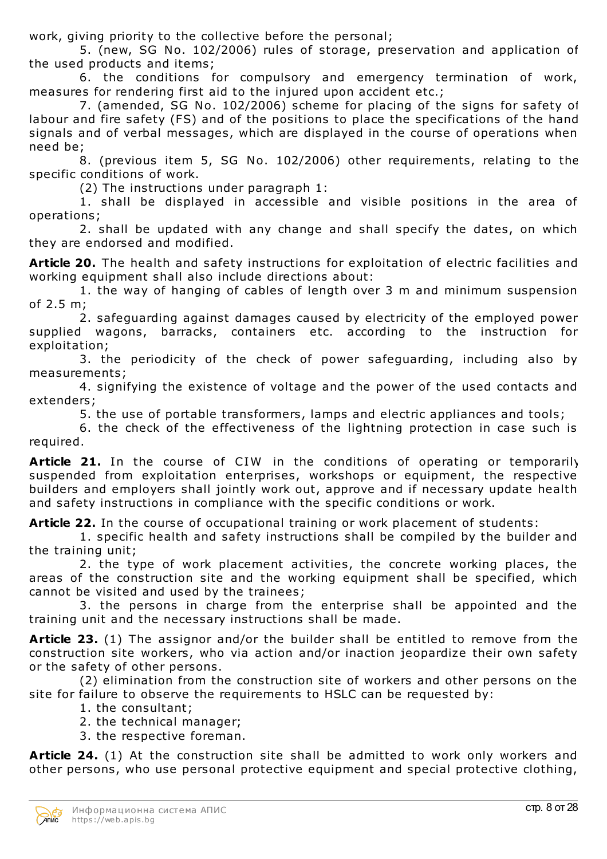work, giving priority to the collective before the personal;

5. (new, SG No. 102/2006) rules of storage, preservation and application of the used products and items;

6. the conditions for compulsory and emergency termination of work, measures for rendering first aid to the injured upon accident etc.;

7. (amended, SG No. 102/2006) scheme for placing of the signs for safety of labour and fire safety (FS) and of the positions to place the specifications of the hand signals and of verbal messages, which are displayed in the course of operations when need be;

8. (previous item 5, SG No. 102/2006) other requirements, relating to the specific conditions of work.

(2) The instructions under paragraph 1:

1. shall be displayed in accessible and visible positions in the area of operations;

2. shall be updated with any change and shall specify the dates, on which they are endorsed and modified.

**Article 20.** The health and safety instructions for exploitation of electric facilities and working equipment shall also include directions about:

1. the way of hanging of cables of length over 3 m and minimum suspension of 2.5 m;

2. safeguarding against damages caused by electricity of the employed power supplied wagons, barracks, containers etc. according to the instruction for exploitation;

3. the periodicity of the check of power safeguarding, including also by measurements;

4. signifying the existence of voltage and the power of the used contacts and extenders;

5. the use of portable transformers, lamps and electric appliances and tools;

6. the check of the effectiveness of the lightning protection in case such is required.

**Article 21.** In the course of CIW in the conditions of operating or temporarily suspended from exploitation enterprises, workshops or equipment, the respective builders and employers shall jointly work out, approve and if necessary update health and safety instructions in compliance with the specific conditions or work.

**Article 22.** In the course of occupational training or work placement of students:

1. specific health and safety instructions shall be compiled by the builder and the training unit;

2. the type of work placement activities, the concrete working places, the areas of the construction site and the working equipment shall be specified, which cannot be visited and used by the trainees;

3. the persons in charge from the enterprise shall be appointed and the training unit and the necessary instructions shall be made.

**Article 23.** (1) The assignor and/or the builder shall be entitled to remove from the construction site workers, who via action and/or inaction jeopardize their own safety or the safety of other persons.

(2) elimination from the construction site of workers and other persons on the site for failure to observe the requirements to HSLC can be requested by:

- 1. the consultant;
- 2. the technical manager;
- 3. the respective foreman.

**Article 24.** (1) At the construction site shall be admitted to work only workers and other persons, who use personal protective equipment and special protective clothing,

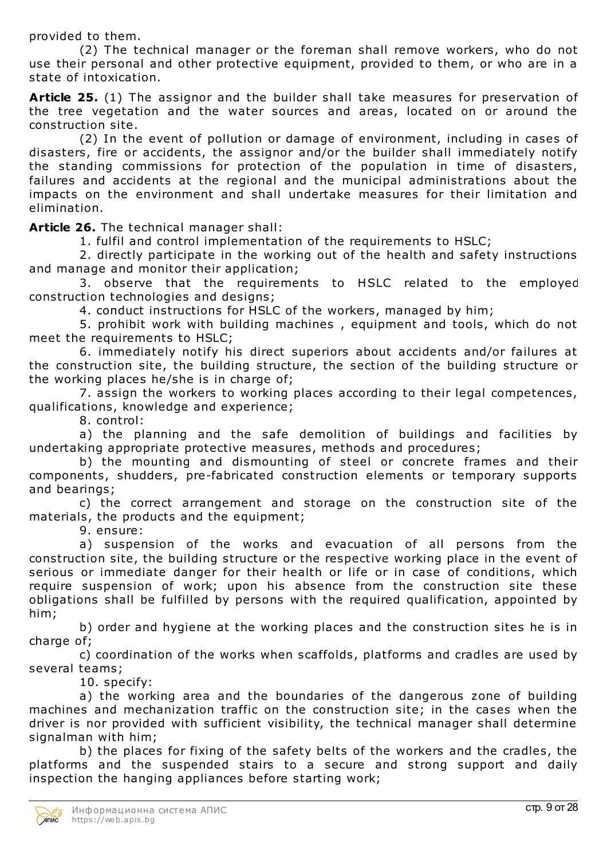provided to them.

(2) The technical manager or the foreman shall remove workers, who do not use their personal and other protective equipment, provided to them, or who are in a state of intoxication.

**Article 25.** (1) The assignor and the builder shall take measures for preservation of the tree vegetation and the water sources and areas, located on or around the construction site.

(2) In the event of pollution or damage of environment, including in cases of disasters, fire or accidents, the assignor and/or the builder shall immediately notify the standing commissions for protection of the population in time of disasters, failures and accidents at the regional and the municipal administrations about the impacts on the environment and shall undertake measures for their limitation and elimination.

**Article 26.** The technical manager shall:

1. fulfil and control implementation of the requirements to HSLC;

2. directly participate in the working out of the health and safety instructions and manage and monitor their application;

3. observe that the requirements to HSLC related to the employed construction technologies and designs;

4. conduct instructions for HSLC of the workers, managed by him;

5. prohibit work with building machines , equipment and tools, which do not meet the requirements to HSLC;

6. immediately notify his direct superiors about accidents and/or failures at the construction site, the building structure, the section of the building structure or the working places he/she is in charge of;

7. assign the workers to working places according to their legal competences, qualifications, knowledge and experience;

8. control:

a) the planning and the safe demolition of buildings and facilities by undertaking appropriate protective measures, methods and procedures;

b) the mounting and dismounting of steel or concrete frames and their components, shudders, pre-fabricated construction elements or temporary supports and bearings;

c) the correct arrangement and storage on the construction site of the materials, the products and the equipment;

9. ensure:

a) suspension of the works and evacuation of all persons from the construction site, the building structure or the respective working place in the event of serious or immediate danger for their health or life or in case of conditions, which require suspension of work; upon his absence from the construction site these obligations shall be fulfilled by persons with the required qualification, appointed by him;

b) order and hygiene at the working places and the construction sites he is in charge of:

c) coordination of the works when scaffolds, platforms and cradles are used by several teams;

10. specify:

a) the working area and the boundaries of the dangerous zone of building machines and mechanization traffic on the construction site; in the cases when the driver is nor provided with sufficient visibility, the technical manager shall determine signalman with him;

b) the places for fixing of the safety belts of the workers and the cradles, the platforms and the suspended stairs to a secure and strong support and daily inspection the hanging appliances before starting work;

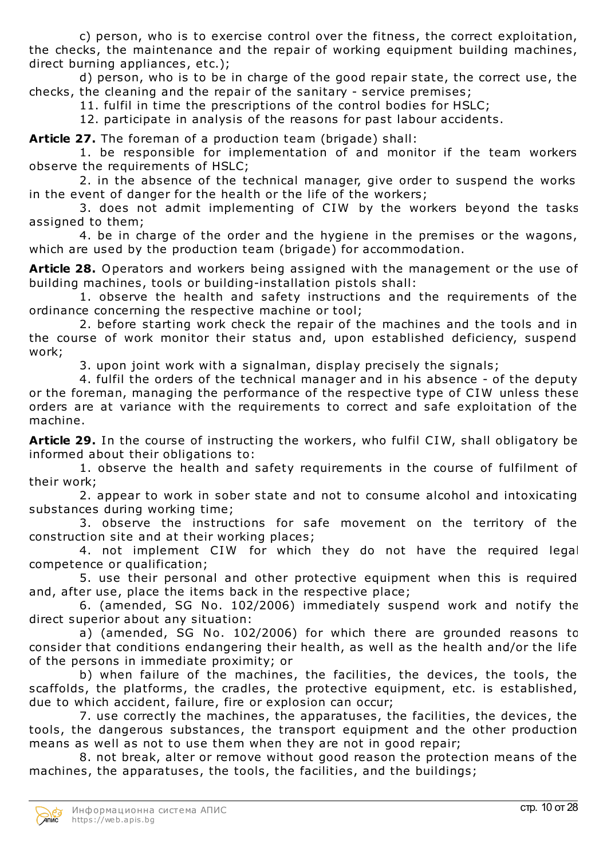c) person, who is to exercise control over the fitness, the correct exploitation, the checks, the maintenance and the repair of working equipment building machines, direct burning appliances, etc.);

d) person, who is to be in charge of the good repair state, the correct use, the checks, the cleaning and the repair of the sanitary - service premises;

11. fulfil in time the prescriptions of the control bodies for HSLC;

12. participate in analysis of the reasons for past labour accidents.

**Article 27.** The foreman of a production team (brigade) shall:

1. be responsible for implementation of and monitor if the team workers observe the requirements of HSLC;

2. in the absence of the technical manager, give order to suspend the works in the event of danger for the health or the life of the workers;

3. does not admit implementing of CIW by the workers beyond the tasks assigned to them;

4. be in charge of the order and the hygiene in the premises or the wagons, which are used by the production team (brigade) for accommodation.

**Article 28.** Operators and workers being assigned with the management or the use of building machines, tools or building-installation pistols shall:

1. observe the health and safety instructions and the requirements of the ordinance concerning the respective machine or tool;

2. before starting work check the repair of the machines and the tools and in the course of work monitor their status and, upon established deficiency, suspend work;

3. upon joint work with a signalman, display precisely the signals;

4. fulfil the orders of the technical manager and in his absence - of the deputy or the foreman, managing the performance of the respective type of CIW unless these orders are at variance with the requirements to correct and safe exploitation of the machine.

**Article 29.** In the course of instructing the workers, who fulfil CIW, shall obligatory be informed about their obligations to:

1. observe the health and safety requirements in the course of fulfilment of their work;

2. appear to work in sober state and not to consume alcohol and intoxicating substances during working time;

3. observe the instructions for safe movement on the territory of the construction site and at their working places;

4. not implement CIW for which they do not have the required legal competence or qualification;

5. use their personal and other protective equipment when this is required and, after use, place the items back in the respective place;

6. (amended, SG No. 102/2006) immediately suspend work and notify the direct superior about any situation:

a) (amended, SG No. 102/2006) for which there are grounded reasons to consider that conditions endangering their health, as well as the health and/or the life of the persons in immediate proximity; or

b) when failure of the machines, the facilities, the devices, the tools, the scaffolds, the platforms, the cradles, the protective equipment, etc. is established, due to which accident, failure, fire or explosion can occur;

7. use correctly the machines, the apparatuses, the facilities, the devices, the tools, the dangerous substances, the transport equipment and the other production means as well as not to use them when they are not in good repair;

8. not break, alter or remove without good reason the protection means of the machines, the apparatuses, the tools, the facilities, and the buildings;

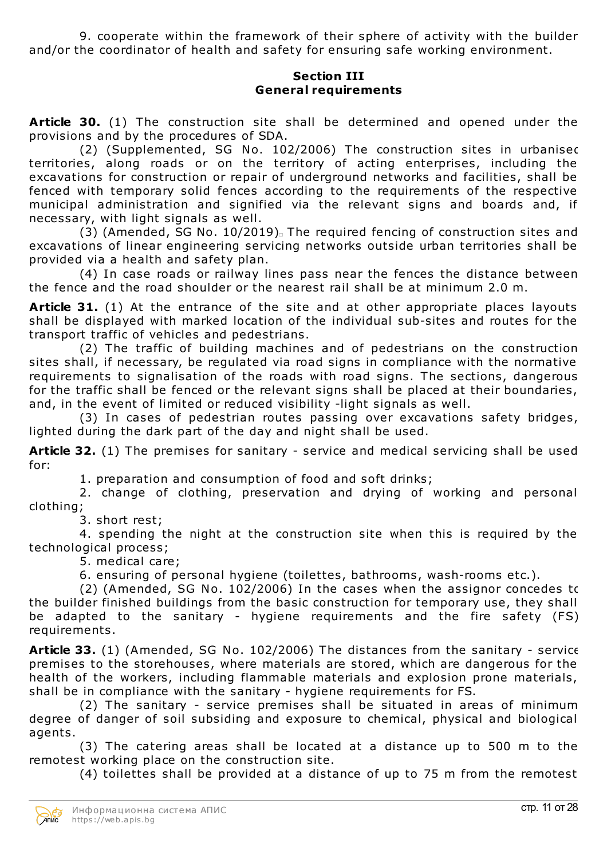9. cooperate within the framework of their sphere of activity with the builder and/or the coordinator of health and safety for ensuring safe working environment.

#### **Section III General requirements**

**Article 30.** (1) The construction site shall be determined and opened under the provisions and by the procedures of SDA.

(2) (Supplemented, SG No. 102/2006) The construction sites in urbanised territories, along roads or on the territory of acting enterprises, including the excavations for construction or repair of underground networks and facilities, shall be fenced with temporary solid fences according to the requirements of the respective municipal administration and signified via the relevant signs and boards and, if necessary, with light signals as well.

(3) (Amended, SG No.  $10/2019$ ). The required fencing of construction sites and excavations of linear engineering servicing networks outside urban territories shall be provided via a health and safety plan.

(4) In case roads or railway lines pass near the fences the distance between the fence and the road shoulder or the nearest rail shall be at minimum 2.0 m.

**Article 31.** (1) At the entrance of the site and at other appropriate places layouts shall be displayed with marked location of the individual sub-sites and routes for the transport traffic of vehicles and pedestrians.

(2) The traffic of building machines and of pedestrians on the construction sites shall, if necessary, be regulated via road signs in compliance with the normative requirements to signalisation of the roads with road signs. The sections, dangerous for the traffic shall be fenced or the relevant signs shall be placed at their boundaries, and, in the event of limited or reduced visibility -light signals as well.

(3) In cases of pedestrian routes passing over excavations safety bridges, lighted during the dark part of the day and night shall be used.

**Article 32.** (1) The premises for sanitary - service and medical servicing shall be used for:

1. preparation and consumption of food and soft drinks;

2. change of clothing, preservation and drying of working and personal clothing;

3. short rest;

4. spending the night at the construction site when this is required by the technological process;

5. medical care;

6. ensuring of personal hygiene (toilettes, bathrooms, wash-rooms etc.).

(2) (Amended, SG No. 102/2006) In the cases when the assignor concedes to the builder finished buildings from the basic construction for temporary use, they shall be adapted to the sanitary - hygiene requirements and the fire safety (FS) requirements.

**Article 33.** (1) (Amended, SG No. 102/2006) The distances from the sanitary - service premises to the storehouses, where materials are stored, which are dangerous for the health of the workers, including flammable materials and explosion prone materials, shall be in compliance with the sanitary - hygiene requirements for FS.

(2) The sanitary - service premises shall be situated in areas of minimum degree of danger of soil subsiding and exposure to chemical, physical and biological agents.

(3) The catering areas shall be located at a distance up to 500 m to the remotest working place on the construction site.

(4) toilettes shall be provided at a distance of up to 75 m from the remotest

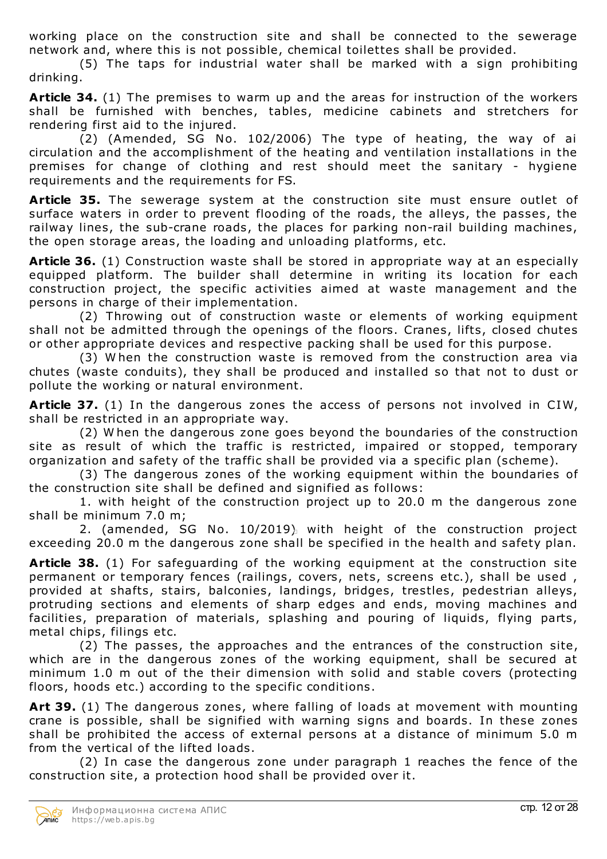working place on the construction site and shall be connected to the sewerage network and, where this is not possible, chemical toilettes shall be provided.

(5) The taps for industrial water shall be marked with a sign prohibiting drinking.

**Article 34.** (1) The premises to warm up and the areas for instruction of the workers shall be furnished with benches, tables, medicine cabinets and stretchers for rendering first aid to the injured.

(2) (Amended, SG No. 102/2006) The type of heating, the way of air circulation and the accomplishment of the heating and ventilation installations in the premises for change of clothing and rest should meet the sanitary - hygiene requirements and the requirements for FS.

**Article 35.** The sewerage system at the construction site must ensure outlet of surface waters in order to prevent flooding of the roads, the alleys, the passes, the railway lines, the sub-crane roads, the places for parking non-rail building machines, the open storage areas, the loading and unloading platforms, etc.

**Article 36.** (1) Construction waste shall be stored in appropriate way at an especially equipped platform. The builder shall determine in writing its location for each construction project, the specific activities aimed at waste management and the persons in charge of their implementation.

(2) Throwing out of construction waste or elements of working equipment shall not be admitted through the openings of the floors. Cranes, lifts, closed chutes or other appropriate devices and respective packing shall be used for this purpose.

(3) W hen the construction waste is removed from the construction area via chutes (waste conduits), they shall be produced and installed so that not to dust or pollute the working or natural environment.

**Article 37.** (1) In the dangerous zones the access of persons not involved in CIW, shall be restricted in an appropriate way.

(2) W hen the dangerous zone goes beyond the boundaries of the construction site as result of which the traffic is restricted, impaired or stopped, temporary organization and safety of the traffic shall be provided via a specific plan (scheme).

(3) The dangerous zones of the working equipment within the boundaries of the construction site shall be defined and signified as follows:

1. with height of the construction project up to 20.0 m the dangerous zone shall be minimum 7.0 m;

2. (amended, SG No. 10/2019) with height of the construction project exceeding 20.0 m the dangerous zone shall be specified in the health and safety plan.

**Article 38.** (1) For safeguarding of the working equipment at the construction site permanent or temporary fences (railings, covers, nets, screens etc.), shall be used , provided at shafts, stairs, balconies, landings, bridges, trestles, pedestrian alleys, protruding sections and elements of sharp edges and ends, moving machines and facilities, preparation of materials, splashing and pouring of liquids, flying parts, metal chips, filings etc.

(2) The passes, the approaches and the entrances of the construction site, which are in the dangerous zones of the working equipment, shall be secured at minimum 1.0 m out of the their dimension with solid and stable covers (protecting floors, hoods etc.) according to the specific conditions.

**Art 39.** (1) The dangerous zones, where falling of loads at movement with mounting crane is possible, shall be signified with warning signs and boards. In these zones shall be prohibited the access of external persons at a distance of minimum 5.0 m from the vertical of the lifted loads.

(2) In case the dangerous zone under paragraph 1 reaches the fence of the construction site, a protection hood shall be provided over it.

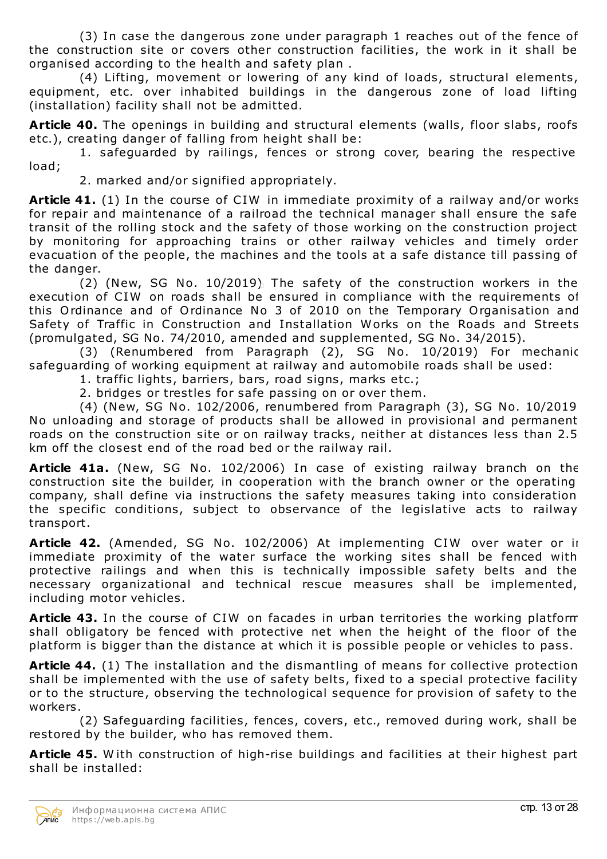(3) In case the dangerous zone under paragraph 1 reaches out of the fence of the construction site or covers other construction facilities, the work in it shall be organised according to the health and safety plan .

(4) Lifting, movement or lowering of any kind of loads, structural elements, equipment, etc. over inhabited buildings in the dangerous zone of load lifting (installation) facility shall not be admitted.

**Article 40.** The openings in building and structural elements (walls, floor slabs, roofs etc.), creating danger of falling from height shall be:

1. safeguarded by railings, fences or strong cover, bearing the respective load;

2. marked and/or signified appropriately.

**Article 41.** (1) In the course of CIW in immediate proximity of a railway and/or works for repair and maintenance of a railroad the technical manager shall ensure the safe transit of the rolling stock and the safety of those working on the construction project by monitoring for approaching trains or other railway vehicles and timely order evacuation of the people, the machines and the tools at a safe distance till passing of the danger.

(2) (New, SG No. 10/2019) The safety of the construction workers in the execution of CIW on roads shall be ensured in compliance with the requirements of this Ordinance and of Ordinance No 3 of 2010 on the Temporary Organisation and Safety of Traffic in Construction and Installation Works on the Roads and Streets (promulgated, SG No. 74/2010, amended and supplemented, SG No. 34/2015).

(3) (Renumbered from Paragraph (2), SG No. 10/2019) For mechanic safeguarding of working equipment at railway and automobile roads shall be used:

1. traffic lights, barriers, bars, road signs, marks etc.;

2. bridges or trestles for safe passing on or over them.

(4) (New, SG No. 102/2006, renumbered from Paragraph (3), SG No. 10/2019) No unloading and storage of products shall be allowed in provisional and permanent roads on the construction site or on railway tracks, neither at distances less than 2.5 km off the closest end of the road bed or the railway rail.

**Article 41a.** (New, SG No. 102/2006) In case of existing railway branch on the construction site the builder, in cooperation with the branch owner or the operating company, shall define via instructions the safety measures taking into consideration the specific conditions, subject to observance of the legislative acts to railway transport.

**Article 42.** (Amended, SG No. 102/2006) At implementing CIW over water or in immediate proximity of the water surface the working sites shall be fenced with protective railings and when this is technically impossible safety belts and the necessary organizational and technical rescue measures shall be implemented, including motor vehicles.

**Article 43.** In the course of CIW on facades in urban territories the working platform shall obligatory be fenced with protective net when the height of the floor of the platform is bigger than the distance at which it is possible people or vehicles to pass.

**Article 44.** (1) The installation and the dismantling of means for collective protection shall be implemented with the use of safety belts, fixed to a special protective facility or to the structure, observing the technological sequence for provision of safety to the workers.

(2) Safeguarding facilities, fences, covers, etc., removed during work, shall be restored by the builder, who has removed them.

**Article 45.** W ith construction of high-rise buildings and facilities at their highest part shall be installed:

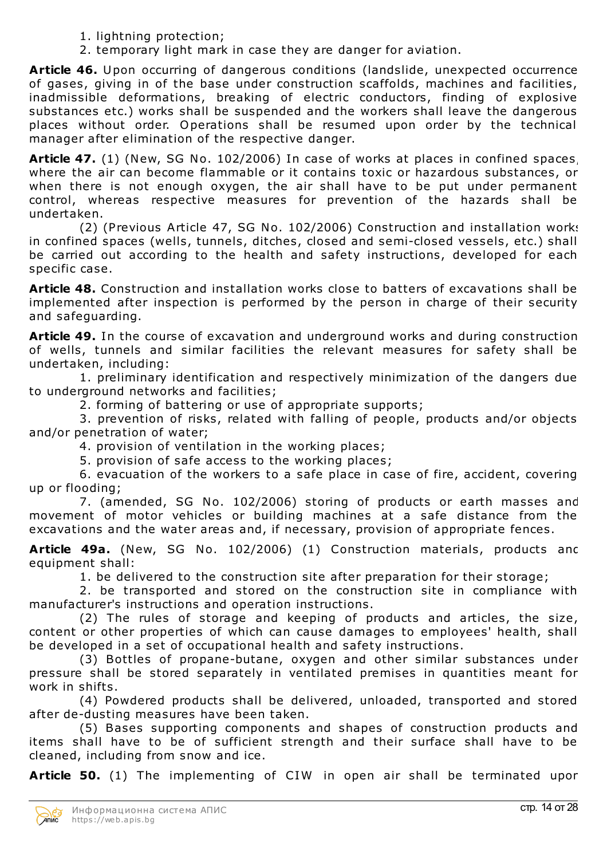- 1. lightning protection;
- 2. temporary light mark in case they are danger for aviation.

**Article 46.** Upon occurring of dangerous conditions (landslide, unexpected occurrence of gases, giving in of the base under construction scaffolds, machines and facilities, inadmissible deformations, breaking of electric conductors, finding of explosive substances etc.) works shall be suspended and the workers shall leave the dangerous places without order. Operations shall be resumed upon order by the technical manager after elimination of the respective danger.

**Article 47.** (1) (New, SG No. 102/2006) In case of works at places in confined spaces, where the air can become flammable or it contains toxic or hazardous substances, or when there is not enough oxygen, the air shall have to be put under permanent control, whereas respective measures for prevention of the hazards shall be undertaken.

(2) (Previous Article 47, SG No. 102/2006) Construction and installation works in confined spaces (wells, tunnels, ditches, closed and semi-closed vessels, etc.) shall be carried out according to the health and safety instructions, developed for each specific case.

**Article 48.** Construction and installation works close to batters of excavations shall be implemented after inspection is performed by the person in charge of their security and safeguarding.

**Article 49.** In the course of excavation and underground works and during construction of wells, tunnels and similar facilities the relevant measures for safety shall be undertaken, including:

1. preliminary identification and respectively minimization of the dangers due to underground networks and facilities;

2. forming of battering or use of appropriate supports;

3. prevention of risks, related with falling of people, products and/or objects and/or penetration of water;

4. provision of ventilation in the working places;

5. provision of safe access to the working places;

6. evacuation of the workers to a safe place in case of fire, accident, covering up or flooding;

7. (amended, SG No. 102/2006) storing of products or earth masses and movement of motor vehicles or building machines at a safe distance from the excavations and the water areas and, if necessary, provision of appropriate fences.

**Article 49a.** (New, SG No. 102/2006) (1) Construction materials, products and equipment shall:

1. be delivered to the construction site after preparation for their storage;

2. be transported and stored on the construction site in compliance with manufacturer's instructions and operation instructions.

(2) The rules of storage and keeping of products and articles, the size, content or other properties of which can cause damages to employees' health, shall be developed in a set of occupational health and safety instructions.

(3) Bottles of propane-butane, oxygen and other similar substances under pressure shall be stored separately in ventilated premises in quantities meant for work in shifts.

(4) Powdered products shall be delivered, unloaded, transported and stored after de-dusting measures have been taken.

(5) Bases supporting components and shapes of construction products and items shall have to be of sufficient strength and their surface shall have to be cleaned, including from snow and ice.

**Article 50.** (1) The implementing of CIW in open air shall be terminated upon

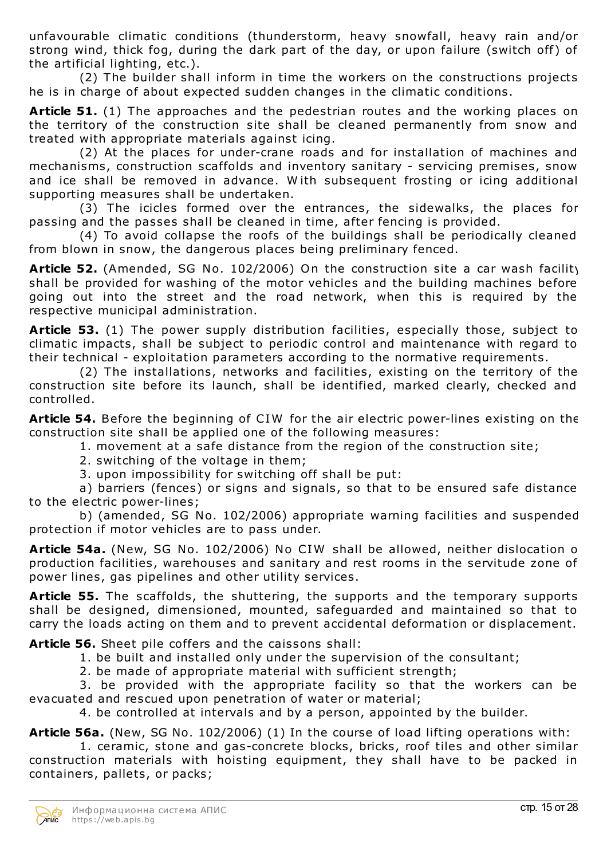unfavourable climatic conditions (thunderstorm, heavy snowfall, heavy rain and/or strong wind, thick fog, during the dark part of the day, or upon failure (switch off) of the artificial lighting, etc.).

(2) The builder shall inform in time the workers on the constructions projects he is in charge of about expected sudden changes in the climatic conditions.

**Article 51.** (1) The approaches and the pedestrian routes and the working places on the territory of the construction site shall be cleaned permanently from snow and treated with appropriate materials against icing.

(2) At the places for under-crane roads and for installation of machines and mechanisms, construction scaffolds and inventory sanitary - servicing premises, snow and ice shall be removed in advance. W ith subsequent frosting or icing additional supporting measures shall be undertaken.

(3) The icicles formed over the entrances, the sidewalks, the places for passing and the passes shall be cleaned in time, after fencing is provided.

(4) To avoid collapse the roofs of the buildings shall be periodically cleaned from blown in snow, the dangerous places being preliminary fenced.

**Article 52.** (Amended, SG No. 102/2006) On the construction site a car wash facility shall be provided for washing of the motor vehicles and the building machines before going out into the street and the road network, when this is required by the respective municipal administration.

**Article 53.** (1) The power supply distribution facilities, especially those, subject to climatic impacts, shall be subject to periodic control and maintenance with regard to their technical - exploitation parameters according to the normative requirements.

(2) The installations, networks and facilities, existing on the territory of the construction site before its launch, shall be identified, marked clearly, checked and controlled.

**Article 54.** Before the beginning of CIW for the air electric power-lines existing on the construction site shall be applied one of the following measures:

1. movement at a safe distance from the region of the construction site;

2. switching of the voltage in them;

3. upon impossibility for switching off shall be put:

a) barriers (fences) or signs and signals, so that to be ensured safe distance to the electric power-lines;

b) (amended, SG No. 102/2006) appropriate warning facilities and suspended protection if motor vehicles are to pass under.

**Article 54a.** (New, SG No. 102/2006) No CIW shall be allowed, neither dislocation of production facilities, warehouses and sanitary and rest rooms in the servitude zone of power lines, gas pipelines and other utility services.

**Article 55.** The scaffolds, the shuttering, the supports and the temporary supports shall be designed, dimensioned, mounted, safeguarded and maintained so that to carry the loads acting on them and to prevent accidental deformation or displacement.

**Article 56.** Sheet pile coffers and the caissons shall:

1. be built and installed only under the supervision of the consultant;

2. be made of appropriate material with sufficient strength;

3. be provided with the appropriate facility so that the workers can be evacuated and rescued upon penetration of water or material;

4. be controlled at intervals and by a person, appointed by the builder.

**Article 56a.** (New, SG No. 102/2006) (1) In the course of load lifting operations with:

1. ceramic, stone and gas-concrete blocks, bricks, roof tiles and other similar construction materials with hoisting equipment, they shall have to be packed in containers, pallets, or packs;

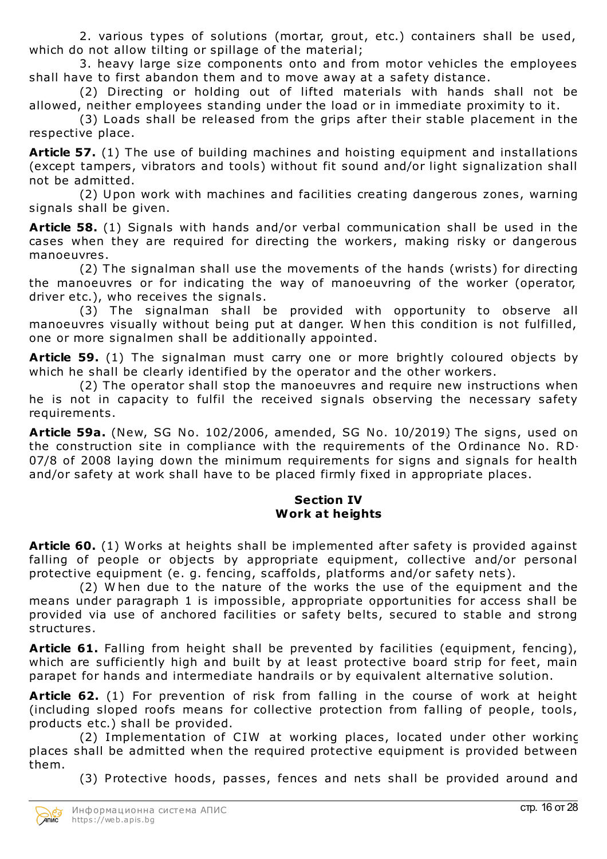2. various types of solutions (mortar, grout, etc.) containers shall be used, which do not allow tilting or spillage of the material;

3. heavy large size components onto and from motor vehicles the employees shall have to first abandon them and to move away at a safety distance.

(2) Directing or holding out of lifted materials with hands shall not be allowed, neither employees standing under the load or in immediate proximity to it.

(3) Loads shall be released from the grips after their stable placement in the respective place.

**Article 57.** (1) The use of building machines and hoisting equipment and installations (except tampers, vibrators and tools) without fit sound and/or light signalization shall not be admitted.

(2) Upon work with machines and facilities creating dangerous zones, warning signals shall be given.

**Article 58.** (1) Signals with hands and/or verbal communication shall be used in the cases when they are required for directing the workers, making risky or dangerous manoeuvres.

(2) The signalman shall use the movements of the hands (wrists) for directing the manoeuvres or for indicating the way of manoeuvring of the worker (operator, driver etc.), who receives the signals.

(3) The signalman shall be provided with opportunity to observe all manoeuvres visually without being put at danger. W hen this condition is not fulfilled, one or more signalmen shall be additionally appointed.

**Article 59.** (1) The signalman must carry one or more brightly coloured objects by which he shall be clearly identified by the operator and the other workers.

(2) The operator shall stop the manoeuvres and require new instructions when he is not in capacity to fulfil the received signals observing the necessary safety requirements.

**Article 59a.** (New, SG No. 102/2006, amended, SG No. 10/2019) The signs, used on the construction site in compliance with the requirements of the Ordinance No. RD-07/8 of 2008 laying down the minimum requirements for signs and signals for health and/or safety at work shall have to be placed firmly fixed in appropriate places.

## **Section IV Work at heights**

**Article 60.** (1) Works at heights shall be implemented after safety is provided against falling of people or objects by appropriate equipment, collective and/or personal protective equipment (e. g. fencing, scaffolds, platforms and/or safety nets).

(2) W hen due to the nature of the works the use of the equipment and the means under paragraph 1 is impossible, appropriate opportunities for access shall be provided via use of anchored facilities or safety belts, secured to stable and strong structures.

**Article 61.** Falling from height shall be prevented by facilities (equipment, fencing), which are sufficiently high and built by at least protective board strip for feet, main parapet for hands and intermediate handrails or by equivalent alternative solution.

**Article 62.** (1) For prevention of risk from falling in the course of work at height (including sloped roofs means for collective protection from falling of people, tools, products etc.) shall be provided.

(2) Implementation of CIW at working places, located under other working places shall be admitted when the required protective equipment is provided between them.

(3) Protective hoods, passes, fences and nets shall be provided around and

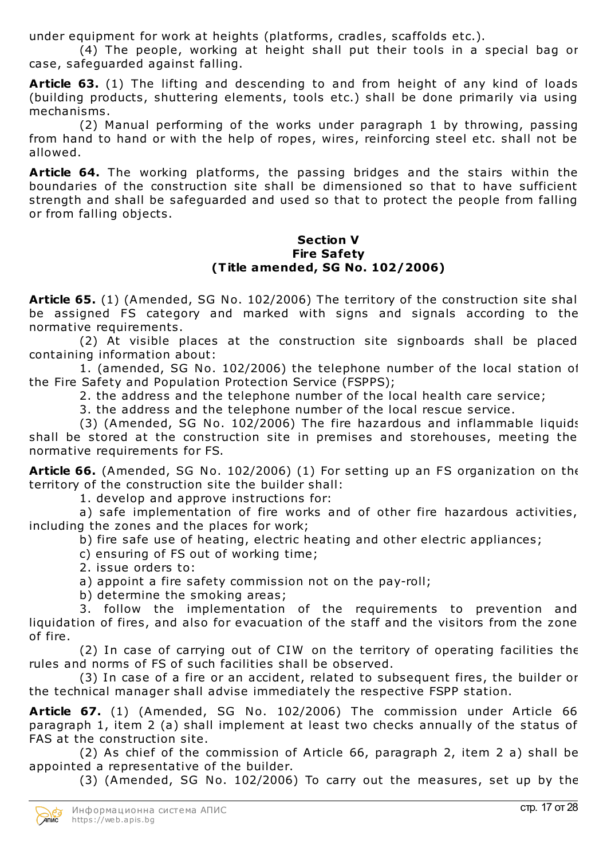under equipment for work at heights (platforms, cradles, scaffolds etc.).

(4) The people, working at height shall put their tools in a special bag or case, safeguarded against falling.

**Article 63.** (1) The lifting and descending to and from height of any kind of loads (building products, shuttering elements, tools etc.) shall be done primarily via using mechanisms.

(2) Manual performing of the works under paragraph 1 by throwing, passing from hand to hand or with the help of ropes, wires, reinforcing steel etc. shall not be allowed.

**Article 64.** The working platforms, the passing bridges and the stairs within the boundaries of the construction site shall be dimensioned so that to have sufficient strength and shall be safeguarded and used so that to protect the people from falling or from falling objects.

#### **Section V Fire Safety (Title amended, SG No. 102/2006)**

**Article 65.** (1) (Amended, SG No. 102/2006) The territory of the construction site shall be assigned FS category and marked with signs and signals according to the normative requirements.

(2) At visible places at the construction site signboards shall be placed containing information about:

1. (amended, SG No. 102/2006) the telephone number of the local station of the Fire Safety and Population Protection Service (FSPPS);

2. the address and the telephone number of the local health care service;

3. the address and the telephone number of the local rescue service.

(3) (Amended, SG No. 102/2006) The fire hazardous and inflammable liquids shall be stored at the construction site in premises and storehouses, meeting the normative requirements for FS.

**Article 66.** (Amended, SG No. 102/2006) (1) For setting up an FS organization on the territory of the construction site the builder shall:

1. develop and approve instructions for:

a) safe implementation of fire works and of other fire hazardous activities, including the zones and the places for work;

b) fire safe use of heating, electric heating and other electric appliances;

c) ensuring of FS out of working time;

2. issue orders to:

a) appoint a fire safety commission not on the pay-roll;

b) determine the smoking areas;

3. follow the implementation of the requirements to prevention and liquidation of fires, and also for evacuation of the staff and the visitors from the zone of fire.

(2) In case of carrying out of CIW on the territory of operating facilities the rules and norms of FS of such facilities shall be observed.

(3) In case of a fire or an accident, related to subsequent fires, the builder or the technical manager shall advise immediately the respective FSPP station.

**Article 67.** (1) (Amended, SG No. 102/2006) The commission under Article 66, paragraph 1, item 2 (a) shall implement at least two checks annually of the status of FAS at the construction site.

(2) As chief of the commission of Article 66, paragraph 2, item 2 a) shall be appointed a representative of the builder.

(3) (Amended, SG No. 102/2006) To carry out the measures, set up by the

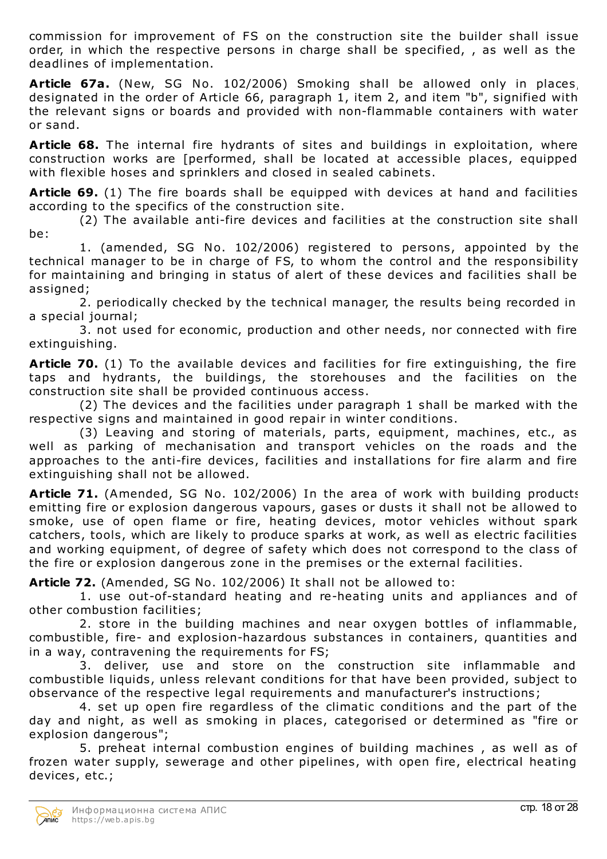commission for improvement of FS on the construction site the builder shall issue order, in which the respective persons in charge shall be specified, , as well as the deadlines of implementation.

**Article 67a.** (New, SG No. 102/2006) Smoking shall be allowed only in places, designated in the order of Article 66, paragraph 1, item 2, and item "b", signified with the relevant signs or boards and provided with non-flammable containers with water or sand.

**Article 68.** The internal fire hydrants of sites and buildings in exploitation, where construction works are [performed, shall be located at accessible places, equipped with flexible hoses and sprinklers and closed in sealed cabinets.

**Article 69.** (1) The fire boards shall be equipped with devices at hand and facilities according to the specifics of the construction site.

(2) The available anti-fire devices and facilities at the construction site shall be:

1. (amended, SG No. 102/2006) registered to persons, appointed by the technical manager to be in charge of FS, to whom the control and the responsibility for maintaining and bringing in status of alert of these devices and facilities shall be assigned;

2. periodically checked by the technical manager, the results being recorded in a special journal;

3. not used for economic, production and other needs, nor connected with fire extinguishing.

**Article 70.** (1) To the available devices and facilities for fire extinguishing, the fire taps and hydrants, the buildings, the storehouses and the facilities on the construction site shall be provided continuous access.

(2) The devices and the facilities under paragraph 1 shall be marked with the respective signs and maintained in good repair in winter conditions.

(3) Leaving and storing of materials, parts, equipment, machines, etc., as well as parking of mechanisation and transport vehicles on the roads and the approaches to the anti-fire devices, facilities and installations for fire alarm and fire extinguishing shall not be allowed.

**Article 71.** (Amended, SG No. 102/2006) In the area of work with building products emitting fire or explosion dangerous vapours, gases or dusts it shall not be allowed to smoke, use of open flame or fire, heating devices, motor vehicles without spark catchers, tools, which are likely to produce sparks at work, as well as electric facilities and working equipment, of degree of safety which does not correspond to the class of the fire or explosion dangerous zone in the premises or the external facilities.

**Article 72.** (Amended, SG No. 102/2006) It shall not be allowed to:

1. use out-of-standard heating and re-heating units and appliances and of other combustion facilities;

2. store in the building machines and near oxygen bottles of inflammable, combustible, fire- and explosion-hazardous substances in containers, quantities and in a way, contravening the requirements for FS;

3. deliver, use and store on the construction site inflammable and combustible liquids, unless relevant conditions for that have been provided, subject to observance of the respective legal requirements and manufacturer's instructions;

4. set up open fire regardless of the climatic conditions and the part of the day and night, as well as smoking in places, categorised or determined as "fire or explosion dangerous";

5. preheat internal combustion engines of building machines , as well as of frozen water supply, sewerage and other pipelines, with open fire, electrical heating devices, etc.;

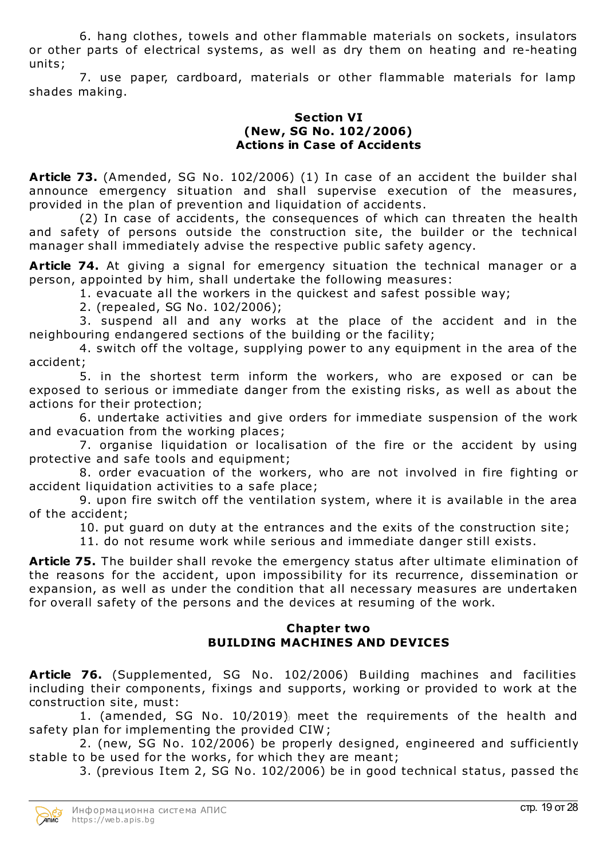6. hang clothes, towels and other flammable materials on sockets, insulators or other parts of electrical systems, as well as dry them on heating and re-heating units;

7. use paper, cardboard, materials or other flammable materials for lamp shades making.

## **Section VI (New, SG No. 102/2006) Actions in Case of Accidents**

**Article 73.** (Amended, SG No. 102/2006) (1) In case of an accident the builder shall announce emergency situation and shall supervise execution of the measures, provided in the plan of prevention and liquidation of accidents.

(2) In case of accidents, the consequences of which can threaten the health and safety of persons outside the construction site, the builder or the technical manager shall immediately advise the respective public safety agency.

**Article 74.** At giving a signal for emergency situation the technical manager or a person, appointed by him, shall undertake the following measures:

1. evacuate all the workers in the quickest and safest possible way;

2. (repealed, SG No. 102/2006);

3. suspend all and any works at the place of the accident and in the neighbouring endangered sections of the building or the facility;

4. switch off the voltage, supplying power to any equipment in the area of the accident;

5. in the shortest term inform the workers, who are exposed or can be exposed to serious or immediate danger from the existing risks, as well as about the actions for their protection;

6. undertake activities and give orders for immediate suspension of the work and evacuation from the working places;

7. organise liquidation or localisation of the fire or the accident by using protective and safe tools and equipment;

8. order evacuation of the workers, who are not involved in fire fighting or accident liquidation activities to a safe place;

9. upon fire switch off the ventilation system, where it is available in the area of the accident;

10. put guard on duty at the entrances and the exits of the construction site;

11. do not resume work while serious and immediate danger still exists.

**Article 75.** The builder shall revoke the emergency status after ultimate elimination of the reasons for the accident, upon impossibility for its recurrence, dissemination or expansion, as well as under the condition that all necessary measures are undertaken for overall safety of the persons and the devices at resuming of the work.

## **Chapter two BUILDING MACHINES AND DEVICES**

**Article 76.** (Supplemented, SG No. 102/2006) Building machines and facilities, including their components, fixings and supports, working or provided to work at the construction site, must:

1. (amended, SG No. 10/2019) meet the requirements of the health and safety plan for implementing the provided CIW ;

2. (new, SG No. 102/2006) be properly designed, engineered and sufficiently stable to be used for the works, for which they are meant;

3. (previous Item 2, SG No. 102/2006) be in good technical status, passed the

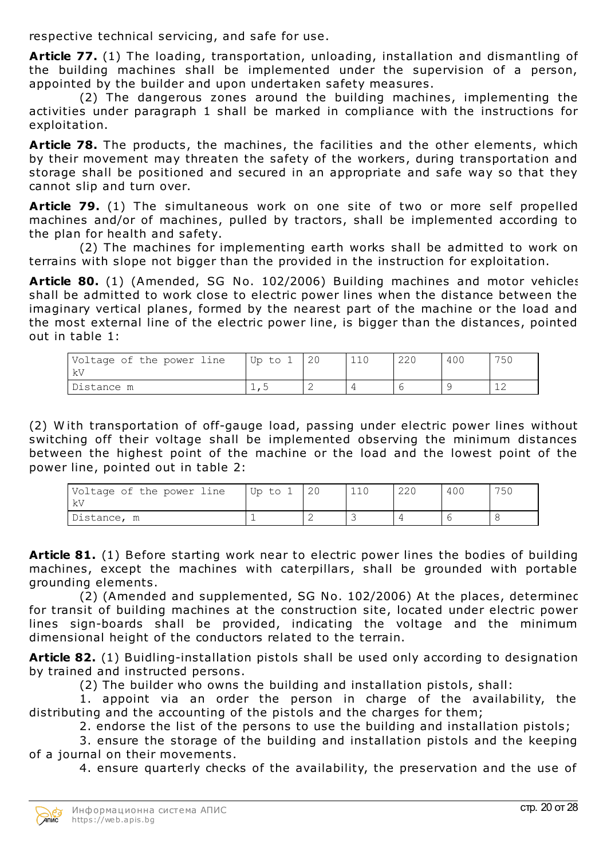respective technical servicing, and safe for use.

**Article 77.** (1) The loading, transportation, unloading, installation and dismantling of the building machines shall be implemented under the supervision of a person, appointed by the builder and upon undertaken safety measures.

(2) The dangerous zones around the building machines, implementing the activities under paragraph 1 shall be marked in compliance with the instructions for exploitation.

**Article 78.** The products, the machines, the facilities and the other elements, which by their movement may threaten the safety of the workers, during transportation and storage shall be positioned and secured in an appropriate and safe way so that they cannot slip and turn over.

**Article 79.** (1) The simultaneous work on one site of two or more self propelled machines and/or of machines, pulled by tractors, shall be implemented according to the plan for health and safety.

(2) The machines for implementing earth works shall be admitted to work on terrains with slope not bigger than the provided in the instruction for exploitation.

**Article 80.** (1) (Amended, SG No. 102/2006) Building machines and motor vehicles shall be admitted to work close to electric power lines when the distance between the imaginary vertical planes, formed by the nearest part of the machine or the load and the most external line of the electric power line, is bigger than the distances, pointed out in table 1:

| Voltage of the power line<br>– kV | Up to |                          | 110 | 220 | 400 | 750 |
|-----------------------------------|-------|--------------------------|-----|-----|-----|-----|
| Distance m                        |       | $\overline{\phantom{0}}$ |     |     |     |     |

(2) W ith transportation of off-gauge load, passing under electric power lines without switching off their voltage shall be implemented observing the minimum distances between the highest point of the machine or the load and the lowest point of the power line, pointed out in table 2:

| Voltage of the power line<br>- kV | Up to 1 | 110 | <b>220</b> | 400 | 750 |
|-----------------------------------|---------|-----|------------|-----|-----|
| Distance, m                       |         |     |            |     |     |

**Article 81.** (1) Before starting work near to electric power lines the bodies of building machines, except the machines with caterpillars, shall be grounded with portable grounding elements.

(2) (Amended and supplemented, SG No. 102/2006) At the places, determined for transit of building machines at the construction site, located under electric power lines sign-boards shall be provided, indicating the voltage and the minimum dimensional height of the conductors related to the terrain.

**Article 82.** (1) Buidling-installation pistols shall be used only according to designation by trained and instructed persons.

(2) The builder who owns the building and installation pistols, shall:

1. appoint via an order the person in charge of the availability, the distributing and the accounting of the pistols and the charges for them;

2. endorse the list of the persons to use the building and installation pistols;

3. ensure the storage of the building and installation pistols and the keeping of a journal on their movements.

4. ensure quarterly checks of the availability, the preservation and the use of

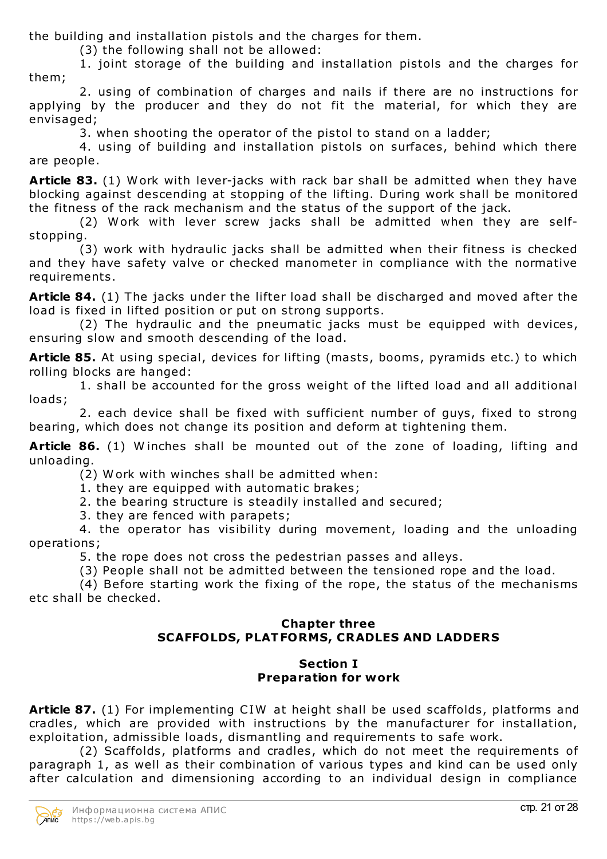the building and installation pistols and the charges for them.

(3) the following shall not be allowed:

1. joint storage of the building and installation pistols and the charges for them;

2. using of combination of charges and nails if there are no instructions for applying by the producer and they do not fit the material, for which they are envisaged;

3. when shooting the operator of the pistol to stand on a ladder;

4. using of building and installation pistols on surfaces, behind which there are people.

**Article 83.** (1) Work with lever-jacks with rack bar shall be admitted when they have blocking against descending at stopping of the lifting. During work shall be monitored the fitness of the rack mechanism and the status of the support of the jack.

(2) Work with lever screw jacks shall be admitted when they are selfstopping.

(3) work with hydraulic jacks shall be admitted when their fitness is checked and they have safety valve or checked manometer in compliance with the normative requirements.

**Article 84.** (1) The jacks under the lifter load shall be discharged and moved after the load is fixed in lifted position or put on strong supports.

(2) The hydraulic and the pneumatic jacks must be equipped with devices, ensuring slow and smooth descending of the load.

**Article 85.** At using special, devices for lifting (masts, booms, pyramids etc.) to which rolling blocks are hanged:

1. shall be accounted for the gross weight of the lifted load and all additional loads;

2. each device shall be fixed with sufficient number of guys, fixed to strong bearing, which does not change its position and deform at tightening them.

**Article 86.** (1) W inches shall be mounted out of the zone of loading, lifting and unloading.

(2) W ork with winches shall be admitted when:

1. they are equipped with automatic brakes;

2. the bearing structure is steadily installed and secured;

3. they are fenced with parapets;

4. the operator has visibility during movement, loading and the unloading operations;

5. the rope does not cross the pedestrian passes and alleys.

(3) People shall not be admitted between the tensioned rope and the load.

(4) Before starting work the fixing of the rope, the status of the mechanisms etc shall be checked.

# **Chapter three SCAFFOLDS, PLATFORMS, CRADLES AND LADDERS**

## **Section I Preparation for work**

**Article 87.** (1) For implementing CIW at height shall be used scaffolds, platforms and cradles, which are provided with instructions by the manufacturer for installation, exploitation, admissible loads, dismantling and requirements to safe work.

(2) Scaffolds, platforms and cradles, which do not meet the requirements of paragraph 1, as well as their combination of various types and kind can be used only after calculation and dimensioning according to an individual design in compliance

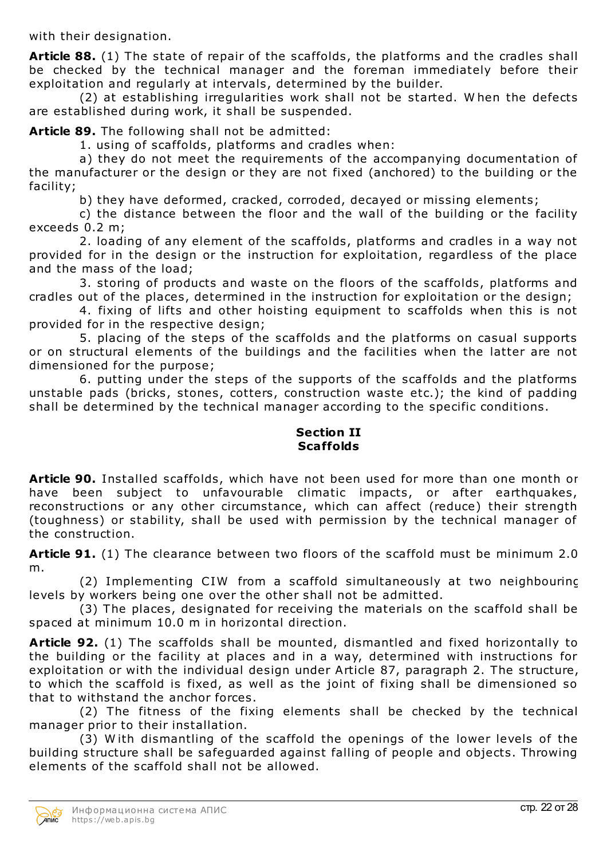with their designation.

**Article 88.** (1) The state of repair of the scaffolds, the platforms and the cradles shall be checked by the technical manager and the foreman immediately before their exploitation and regularly at intervals, determined by the builder.

(2) at establishing irregularities work shall not be started. W hen the defects are established during work, it shall be suspended.

**Article 89.** The following shall not be admitted:

1. using of scaffolds, platforms and cradles when:

a) they do not meet the requirements of the accompanying documentation of the manufacturer or the design or they are not fixed (anchored) to the building or the facility;

b) they have deformed, cracked, corroded, decayed or missing elements;

c) the distance between the floor and the wall of the building or the facility exceeds 0.2 m;

2. loading of any element of the scaffolds, platforms and cradles in a way not provided for in the design or the instruction for exploitation, regardless of the place and the mass of the load;

3. storing of products and waste on the floors of the scaffolds, platforms and cradles out of the places, determined in the instruction for exploitation or the design;

4. fixing of lifts and other hoisting equipment to scaffolds when this is not provided for in the respective design;

5. placing of the steps of the scaffolds and the platforms on casual supports or on structural elements of the buildings and the facilities when the latter are not dimensioned for the purpose;

6. putting under the steps of the supports of the scaffolds and the platforms unstable pads (bricks, stones, cotters, construction waste etc.); the kind of padding shall be determined by the technical manager according to the specific conditions.

## **Section II Scaffolds**

**Article 90.** Installed scaffolds, which have not been used for more than one month or have been subject to unfavourable climatic impacts, or after earthquakes, reconstructions or any other circumstance, which can affect (reduce) their strength (toughness) or stability, shall be used with permission by the technical manager of the construction.

**Article 91.** (1) The clearance between two floors of the scaffold must be minimum 2.0 m.

(2) Implementing CIW from a scaffold simultaneously at two neighbouring levels by workers being one over the other shall not be admitted.

(3) The places, designated for receiving the materials on the scaffold shall be spaced at minimum 10.0 m in horizontal direction.

**Article 92.** (1) The scaffolds shall be mounted, dismantled and fixed horizontally to the building or the facility at places and in a way, determined with instructions for exploitation or with the individual design under Article 87, paragraph 2. The structure, to which the scaffold is fixed, as well as the joint of fixing shall be dimensioned so that to withstand the anchor forces.

(2) The fitness of the fixing elements shall be checked by the technical manager prior to their installation.

(3) W ith dismantling of the scaffold the openings of the lower levels of the building structure shall be safeguarded against falling of people and objects. Throwing elements of the scaffold shall not be allowed.

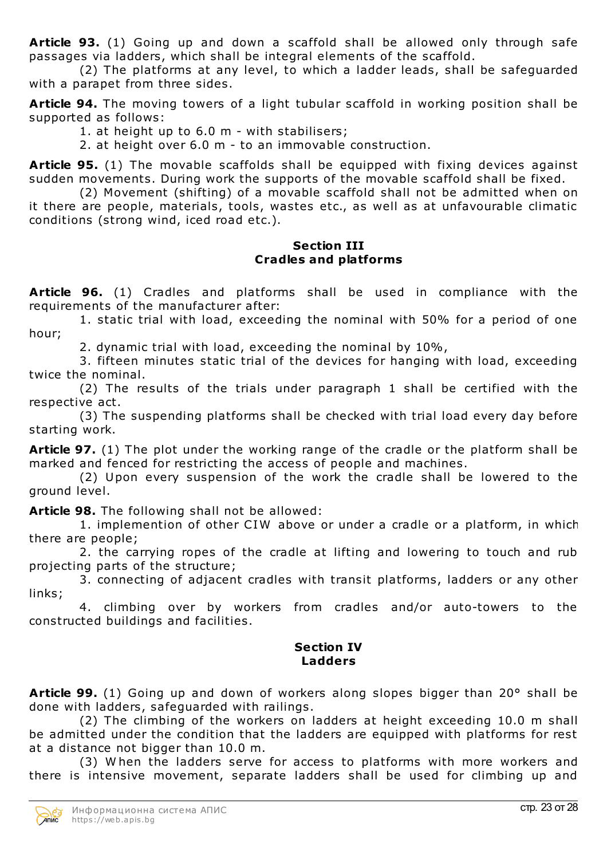**Article 93.** (1) Going up and down a scaffold shall be allowed only through safe passages via ladders, which shall be integral elements of the scaffold.

(2) The platforms at any level, to which a ladder leads, shall be safeguarded with a parapet from three sides.

**Article 94.** The moving towers of a light tubular scaffold in working position shall be supported as follows:

1. at height up to 6.0 m - with stabilisers;

2. at height over 6.0 m - to an immovable construction.

**Article 95.** (1) The movable scaffolds shall be equipped with fixing devices against sudden movements. During work the supports of the movable scaffold shall be fixed.

(2) Movement (shifting) of a movable scaffold shall not be admitted when on it there are people, materials, tools, wastes etc., as well as at unfavourable climatic conditions (strong wind, iced road etc.).

### **Section III Cradles and platforms**

**Article 96.** (1) Cradles and platforms shall be used in compliance with the requirements of the manufacturer after:

1. static trial with load, exceeding the nominal with 50% for a period of one hour;

2. dynamic trial with load, exceeding the nominal by 10%,

3. fifteen minutes static trial of the devices for hanging with load, exceeding twice the nominal.

(2) The results of the trials under paragraph 1 shall be certified with the respective act.

(3) The suspending platforms shall be checked with trial load every day before starting work.

**Article 97.** (1) The plot under the working range of the cradle or the platform shall be marked and fenced for restricting the access of people and machines.

(2) Upon every suspension of the work the cradle shall be lowered to the ground level.

**Article 98.** The following shall not be allowed:

1. implemention of other CIW above or under a cradle or a platform, in which there are people;

2. the carrying ropes of the cradle at lifting and lowering to touch and rub projecting parts of the structure;

3. connecting of adjacent cradles with transit platforms, ladders or any other links;

4. climbing over by workers from cradles and/or auto-towers to the constructed buildings and facilities.

# **Section IV Ladders**

**Article 99.** (1) Going up and down of workers along slopes bigger than 20° shall be done with ladders, safeguarded with railings.

(2) The climbing of the workers on ladders at height exceeding 10.0 m shall be admitted under the condition that the ladders are equipped with platforms for rest at a distance not bigger than 10.0 m.

(3) W hen the ladders serve for access to platforms with more workers and there is intensive movement, separate ladders shall be used for climbing up and

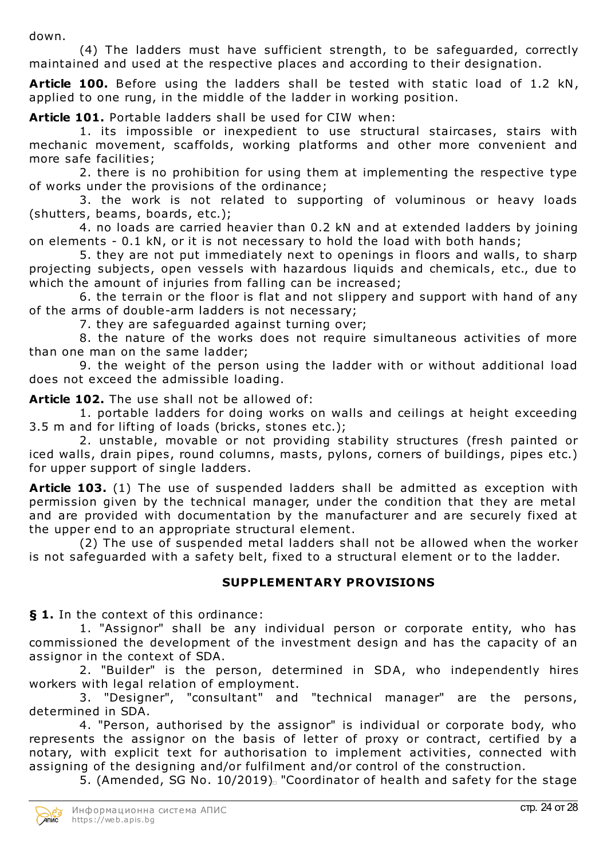down.

(4) The ladders must have sufficient strength, to be safeguarded, correctly maintained and used at the respective places and according to their designation.

**Article 100.** Before using the ladders shall be tested with static load of 1.2 kN, applied to one rung, in the middle of the ladder in working position.

**Article 101.** Portable ladders shall be used for CIW when:

1. its impossible or inexpedient to use structural staircases, stairs with mechanic movement, scaffolds, working platforms and other more convenient and more safe facilities;

2. there is no prohibition for using them at implementing the respective type of works under the provisions of the ordinance;

3. the work is not related to supporting of voluminous or heavy loads (shutters, beams, boards, etc.);

4. no loads are carried heavier than 0.2 kN and at extended ladders by joining on elements - 0.1 kN, or it is not necessary to hold the load with both hands;

5. they are not put immediately next to openings in floors and walls, to sharp projecting subjects, open vessels with hazardous liquids and chemicals, etc., due to which the amount of injuries from falling can be increased;

6. the terrain or the floor is flat and not slippery and support with hand of any of the arms of double-arm ladders is not necessary;

7. they are safeguarded against turning over;

8. the nature of the works does not require simultaneous activities of more than one man on the same ladder;

9. the weight of the person using the ladder with or without additional load does not exceed the admissible loading.

**Article 102.** The use shall not be allowed of:

1. portable ladders for doing works on walls and ceilings at height exceeding 3.5 m and for lifting of loads (bricks, stones etc.);

2. unstable, movable or not providing stability structures (fresh painted or iced walls, drain pipes, round columns, masts, pylons, corners of buildings, pipes etc.) for upper support of single ladders.

**Article 103.** (1) The use of suspended ladders shall be admitted as exception with permission given by the technical manager, under the condition that they are metal and are provided with documentation by the manufacturer and are securely fixed at the upper end to an appropriate structural element.

(2) The use of suspended metal ladders shall not be allowed when the worker is not safeguarded with a safety belt, fixed to a structural element or to the ladder.

# **SUPPLEMENTARY PROVISIONS**

**§ 1.** In the context of this ordinance:

1. "Assignor" shall be any individual person or corporate entity, who has commissioned the development of the investment design and has the capacity of an assignor in the context of SDA.

2. "Builder" is the person, determined in SDA, who independently hires workers with legal relation of employment.

3. "Designer", "consultant" and "technical manager" are the persons, determined in SDA.

4. "Person, authorised by the assignor" is individual or corporate body, who represents the assignor on the basis of letter of proxy or contract, certified by a notary, with explicit text for authorisation to implement activities, connected with assigning of the designing and/or fulfilment and/or control of the construction.

5. (Amended, SG No. 10/2019). "Coordinator of health and safety for the stage

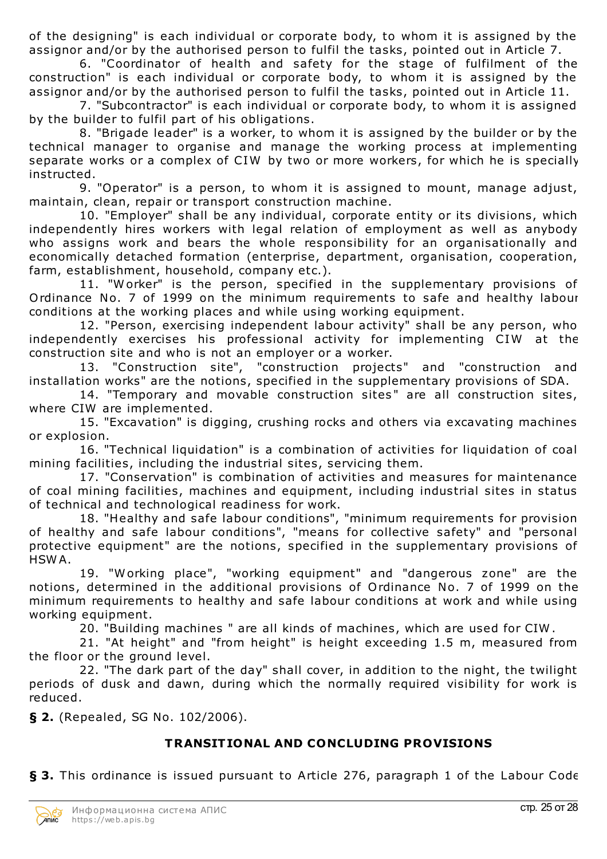of the designing" is each individual or corporate body, to whom it is assigned by the assignor and/or by the authorised person to fulfil the tasks, pointed out in Article 7.

6. "Coordinator of health and safety for the stage of fulfilment of the construction" is each individual or corporate body, to whom it is assigned by the assignor and/or by the authorised person to fulfil the tasks, pointed out in Article 11.

7. "Subcontractor" is each individual or corporate body, to whom it is assigned by the builder to fulfil part of his obligations.

8. "Brigade leader" is a worker, to whom it is assigned by the builder or by the technical manager to organise and manage the working process at implementing separate works or a complex of CIW by two or more workers, for which he is specially instructed.

9. "Operator" is a person, to whom it is assigned to mount, manage adjust, maintain, clean, repair or transport construction machine.

10. "Employer" shall be any individual, corporate entity or its divisions, which independently hires workers with legal relation of employment as well as anybody who assigns work and bears the whole responsibility for an organisationally and economically detached formation (enterprise, department, organisation, cooperation, farm, establishment, household, company etc.).

11. "W orker" is the person, specified in the supplementary provisions of Ordinance No. 7 of 1999 on the minimum requirements to safe and healthy labour conditions at the working places and while using working equipment.

12. "Person, exercising independent labour activity" shall be any person, who independently exercises his professional activity for implementing CIW at the construction site and who is not an employer or a worker.

13. "Construction site", "construction projects" and "construction and installation works" are the notions, specified in the supplementary provisions of SDA.

14. "Temporary and movable construction sites" are all construction sites, where CIW are implemented.

15. "Excavation" is digging, crushing rocks and others via excavating machines or explosion.

16. "Technical liquidation" is a combination of activities for liquidation of coal mining facilities, including the industrial sites, servicing them.

17. "Conservation" is combination of activities and measures for maintenance of coal mining facilities, machines and equipment, including industrial sites in status of technical and technological readiness for work.

18. "Healthy and safe labour conditions", "minimum requirements for provision of healthy and safe labour conditions", "means for collective safety" and "personal protective equipment" are the notions, specified in the supplementary provisions of HSW A.

19. "Working place", "working equipment" and "dangerous zone" are the notions, determined in the additional provisions of Ordinance No. 7 of 1999 on the minimum requirements to healthy and safe labour conditions at work and while using working equipment.

20. "Building machines " are all kinds of machines, which are used for CIW .

21. "At height" and "from height" is height exceeding 1.5 m, measured from the floor or the ground level.

22. "The dark part of the day" shall cover, in addition to the night, the twilight periods of dusk and dawn, during which the normally required visibility for work is reduced.

**§ 2.** (Repealed, SG No. 102/2006).

# **TRANSITIONAL AND CONCLUDING PROVISIONS**

**§ 3.** This ordinance is issued pursuant to Article 276, paragraph 1 of the Labour Code

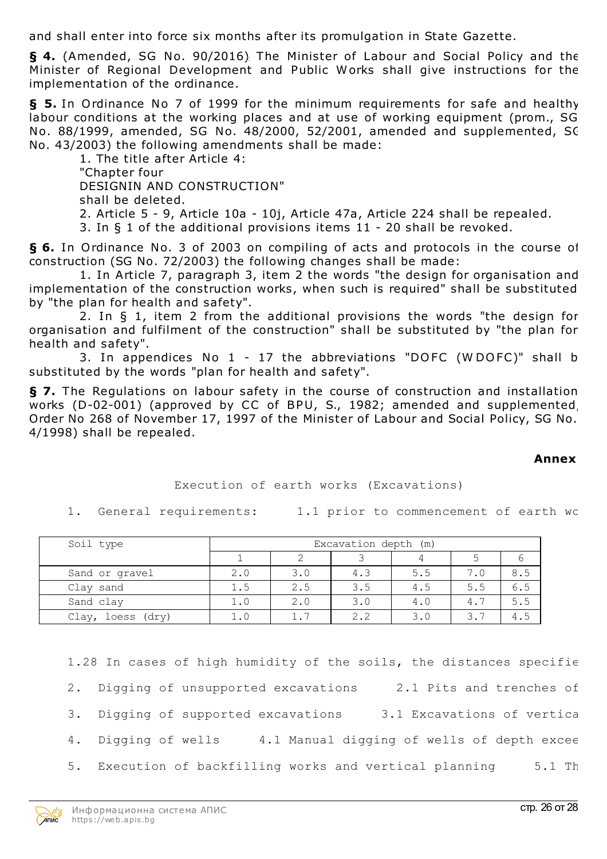and shall enter into force six months after its promulgation in State Gazette.

**§ 4.** (Amended, SG No. 90/2016) The Minister of Labour and Social Policy and the Minister of Regional Development and Public Works shall give instructions for the implementation of the ordinance.

**§ 5.** In Ordinance No 7 of 1999 for the minimum requirements for safe and healthy labour conditions at the working places and at use of working equipment (prom., SG No. 88/1999, amended, SG No. 48/2000, 52/2001, amended and supplemented, SG No. 43/2003) the following amendments shall be made:

1. The title after Article 4: "Chapter four DESIGNIN AND CONSTRUCTION" shall be deleted. 2. Article 5 - 9, Article 10a - 10j, Article 47a, Article 224 shall be repealed. 3. In § 1 of the additional provisions items 11 - 20 shall be revoked.

**§ 6.** In Ordinance No. 3 of 2003 on compiling of acts and protocols in the course of construction (SG No. 72/2003) the following changes shall be made:

1. In Article 7, paragraph 3, item 2 the words "the design for organisation and implementation of the construction works, when such is required" shall be substituted by "the plan for health and safety".

2. In § 1, item 2 from the additional provisions the words "the design for organisation and fulfilment of the construction" shall be substituted by "the plan for health and safety".

3. In appendices No 1 - 17 the abbreviations "DOFC (W DOFC)" shall be substituted by the words "plan for health and safety".

**§ 7.** The Regulations on labour safety in the course of construction and installation works (D-02-001) (approved by CC of BPU, S., 1982; amended and supplemented, Order No 268 of November 17, 1997 of the Minister of Labour and Social Policy, SG No. 4/1998) shall be repealed.

#### **Annex No. 1**

Execution of earth works (Excavations)

1. General requirements: 1.1 prior to commencement of earth wc

| Soil type            | Excavation depth (m) |     |     |     |     |     |  |
|----------------------|----------------------|-----|-----|-----|-----|-----|--|
|                      |                      |     |     |     |     |     |  |
| Sand or gravel       | 2.0                  | 3.0 | 4.3 | 5.5 | 7.0 | 8.5 |  |
| Clay sand            | 1.5                  | 2.5 | 3.5 | 4.5 | 5.5 | 6.5 |  |
| Sand clay            | 1.0                  | 2.0 | 3.0 | 4.0 | 4.7 | 5.5 |  |
| loess (dry)<br>Clay, | 1.0                  |     | 2.2 | 3.0 | 3.7 | 4.5 |  |

1.28 In cases of high humidity of the soils, the distances specifie 2. Digging of unsupported excavations 2.1 Pits and trenches of 3. Digging of supported excavations 3.1 Excavations of vertica 4. Digging of wells 4.1 Manual digging of wells of depth excee 5. Execution of backfilling works and vertical planning 5.1 Th

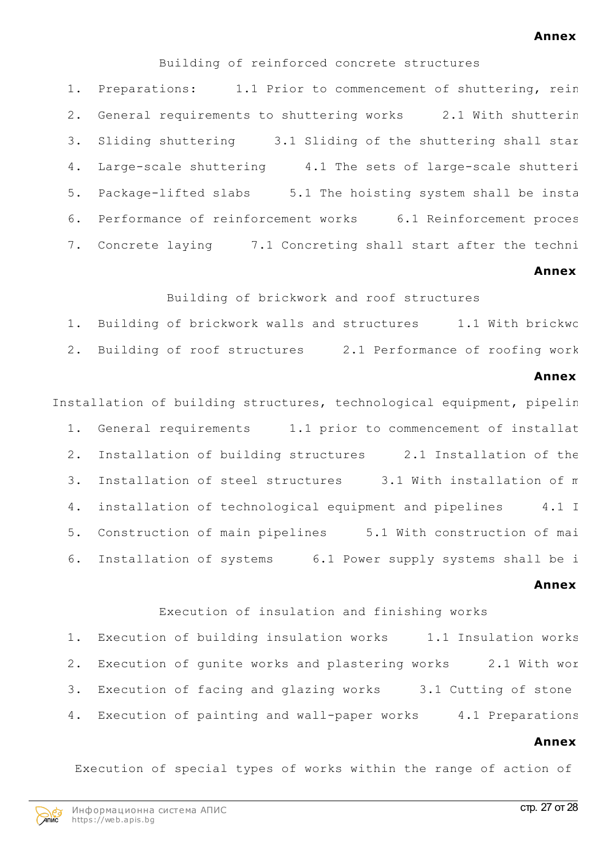#### **Annex No. 2**

Building of reinforced concrete structures

1. Preparations: 1.1 Prior to commencement of shuttering, rein 2. General requirements to shuttering works 2.1 With shutterin 3. Sliding shuttering 3.1 Sliding of the shuttering shall star 4. Large-scale shuttering 4.1 The sets of large-scale shutteri 5. Package-lifted slabs 5.1 The hoisting system shall be insta 6. Performance of reinforcement works 6.1 Reinforcement proces 7. Concrete laying 7.1 Concreting shall start after the techni

#### **Annex No. 3**

Building of brickwork and roof structures

1. Building of brickwork walls and structures 1.1 With brickwc 2. Building of roof structures 2.1 Performance of roofing work

#### **Annex No. 4**

Installation of building structures, technological equipment, pipelin 1. General requirements 1.1 prior to commencement of installat 2. Installation of building structures 2.1 Installation of the 3. Installation of steel structures 3.1 With installation of m 4. installation of technological equipment and pipelines 4.1 I 5. Construction of main pipelines 5.1 With construction of mai 6. Installation of systems 6.1 Power supply systems shall be i

#### **Annex No. 5**

Execution of insulation and finishing works 1. Execution of building insulation works 1.1 Insulation works 2. Execution of gunite works and plastering works 2.1 With wor 3. Execution of facing and glazing works 3.1 Cutting of stone 4. Execution of painting and wall-paper works 4.1 Preparations

#### **Annex No. 6**

Execution of special types of works within the range of action of